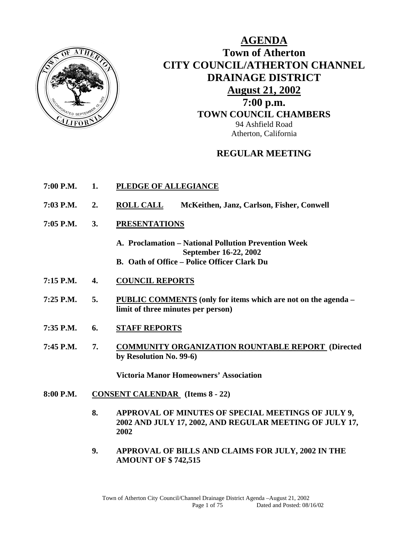

**AGENDA Town of Atherton CITY COUNCIL/ATHERTON CHANNEL DRAINAGE DISTRICT August 21, 2002 7:00 p.m. TOWN COUNCIL CHAMBERS** 94 Ashfield Road Atherton, California

## **REGULAR MEETING**

- **7:00 P.M. 1. PLEDGE OF ALLEGIANCE**
- **7:03 P.M. 2. ROLL CALL McKeithen, Janz, Carlson, Fisher, Conwell**
- **7:05 P.M. 3. PRESENTATIONS**
	- **A. Proclamation National Pollution Prevention Week September 16-22, 2002 B. Oath of Office – Police Officer Clark Du**
- **7:15 P.M. 4. COUNCIL REPORTS**
- **7:25 P.M. 5. PUBLIC COMMENTS (only for items which are not on the agenda limit of three minutes per person)**
- **7:35 P.M. 6. STAFF REPORTS**
- **7:45 P.M. 7. COMMUNITY ORGANIZATION ROUNTABLE REPORT (Directed by Resolution No. 99-6)**

 **Victoria Manor Homeowners' Association** 

- **8:00 P.M. CONSENT CALENDAR (Items 8 22)** 
	- **8. APPROVAL OF MINUTES OF SPECIAL MEETINGS OF JULY 9, 2002 AND JULY 17, 2002, AND REGULAR MEETING OF JULY 17, 2002**
	- **9. APPROVAL OF BILLS AND CLAIMS FOR JULY, 2002 IN THE AMOUNT OF \$ 742,515**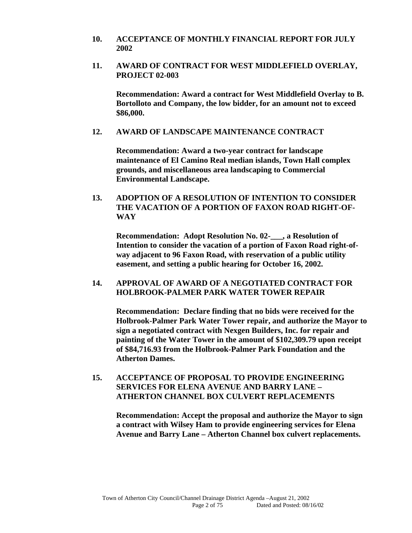- **10. ACCEPTANCE OF MONTHLY FINANCIAL REPORT FOR JULY 2002**
- **11. AWARD OF CONTRACT FOR WEST MIDDLEFIELD OVERLAY, PROJECT 02-003**

 **Recommendation: Award a contract for West Middlefield Overlay to B. Bortolloto and Company, the low bidder, for an amount not to exceed \$86,000.** 

#### **12. AWARD OF LANDSCAPE MAINTENANCE CONTRACT**

 **Recommendation: Award a two-year contract for landscape maintenance of El Camino Real median islands, Town Hall complex grounds, and miscellaneous area landscaping to Commercial Environmental Landscape.** 

**13. ADOPTION OF A RESOLUTION OF INTENTION TO CONSIDER THE VACATION OF A PORTION OF FAXON ROAD RIGHT-OF-WAY** 

 **Recommendation: Adopt Resolution No. 02-\_\_\_, a Resolution of Intention to consider the vacation of a portion of Faxon Road right-ofway adjacent to 96 Faxon Road, with reservation of a public utility easement, and setting a public hearing for October 16, 2002.** 

#### **14. APPROVAL OF AWARD OF A NEGOTIATED CONTRACT FOR HOLBROOK-PALMER PARK WATER TOWER REPAIR**

 **Recommendation: Declare finding that no bids were received for the Holbrook-Palmer Park Water Tower repair, and authorize the Mayor to sign a negotiated contract with Nexgen Builders, Inc. for repair and painting of the Water Tower in the amount of \$102,309.79 upon receipt of \$84,716.93 from the Holbrook-Palmer Park Foundation and the Atherton Dames.** 

**15. ACCEPTANCE OF PROPOSAL TO PROVIDE ENGINEERING SERVICES FOR ELENA AVENUE AND BARRY LANE – ATHERTON CHANNEL BOX CULVERT REPLACEMENTS** 

 **Recommendation: Accept the proposal and authorize the Mayor to sign a contract with Wilsey Ham to provide engineering services for Elena Avenue and Barry Lane – Atherton Channel box culvert replacements.**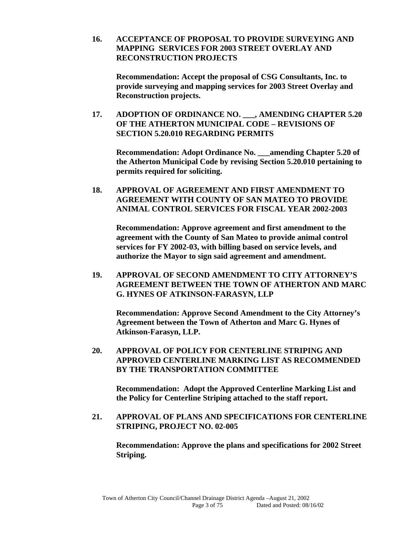**16. ACCEPTANCE OF PROPOSAL TO PROVIDE SURVEYING AND MAPPING SERVICES FOR 2003 STREET OVERLAY AND RECONSTRUCTION PROJECTS** 

 **Recommendation: Accept the proposal of CSG Consultants, Inc. to provide surveying and mapping services for 2003 Street Overlay and Reconstruction projects.** 

**17. ADOPTION OF ORDINANCE NO. \_\_\_, AMENDING CHAPTER 5.20 OF THE ATHERTON MUNICIPAL CODE – REVISIONS OF SECTION 5.20.010 REGARDING PERMITS** 

 **Recommendation: Adopt Ordinance No. \_\_\_amending Chapter 5.20 of the Atherton Municipal Code by revising Section 5.20.010 pertaining to permits required for soliciting.** 

**18. APPROVAL OF AGREEMENT AND FIRST AMENDMENT TO AGREEMENT WITH COUNTY OF SAN MATEO TO PROVIDE ANIMAL CONTROL SERVICES FOR FISCAL YEAR 2002-2003** 

 **Recommendation: Approve agreement and first amendment to the agreement with the County of San Mateo to provide animal control services for FY 2002-03, with billing based on service levels, and authorize the Mayor to sign said agreement and amendment.** 

**19. APPROVAL OF SECOND AMENDMENT TO CITY ATTORNEY'S AGREEMENT BETWEEN THE TOWN OF ATHERTON AND MARC G. HYNES OF ATKINSON-FARASYN, LLP** 

 **Recommendation: Approve Second Amendment to the City Attorney's Agreement between the Town of Atherton and Marc G. Hynes of Atkinson-Farasyn, LLP.** 

**20. APPROVAL OF POLICY FOR CENTERLINE STRIPING AND APPROVED CENTERLINE MARKING LIST AS RECOMMENDED BY THE TRANSPORTATION COMMITTEE** 

 **Recommendation: Adopt the Approved Centerline Marking List and the Policy for Centerline Striping attached to the staff report.** 

**21. APPROVAL OF PLANS AND SPECIFICATIONS FOR CENTERLINE STRIPING, PROJECT NO. 02-005** 

 **Recommendation: Approve the plans and specifications for 2002 Street Striping.**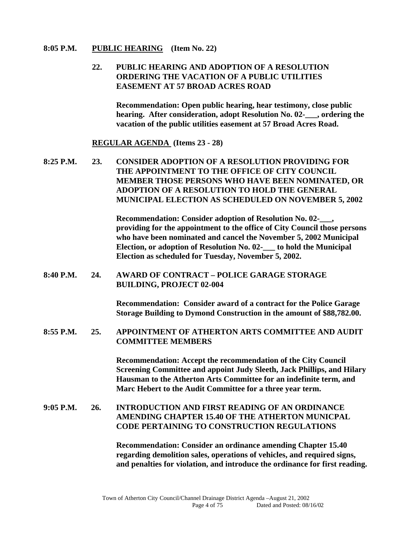#### **8:05 P.M. PUBLIC HEARING (Item No. 22)**

#### **22. PUBLIC HEARING AND ADOPTION OF A RESOLUTION ORDERING THE VACATION OF A PUBLIC UTILITIES EASEMENT AT 57 BROAD ACRES ROAD**

 **Recommendation: Open public hearing, hear testimony, close public hearing. After consideration, adopt Resolution No. 02-\_\_\_, ordering the vacation of the public utilities easement at 57 Broad Acres Road.** 

#### **REGULAR AGENDA (Items 23 - 28)**

**8:25 P.M. 23. CONSIDER ADOPTION OF A RESOLUTION PROVIDING FOR THE APPOINTMENT TO THE OFFICE OF CITY COUNCIL MEMBER THOSE PERSONS WHO HAVE BEEN NOMINATED, OR ADOPTION OF A RESOLUTION TO HOLD THE GENERAL MUNICIPAL ELECTION AS SCHEDULED ON NOVEMBER 5, 2002** 

> **Recommendation: Consider adoption of Resolution No. 02-\_\_\_, providing for the appointment to the office of City Council those persons who have been nominated and cancel the November 5, 2002 Municipal Election, or adoption of Resolution No. 02-\_\_\_ to hold the Municipal Election as scheduled for Tuesday, November 5, 2002.**

**8:40 P.M. 24. AWARD OF CONTRACT – POLICE GARAGE STORAGE BUILDING, PROJECT 02-004** 

> **Recommendation: Consider award of a contract for the Police Garage Storage Building to Dymond Construction in the amount of \$88,782.00.**

**8:55 P.M. 25. APPOINTMENT OF ATHERTON ARTS COMMITTEE AND AUDIT COMMITTEE MEMBERS** 

> **Recommendation: Accept the recommendation of the City Council Screening Committee and appoint Judy Sleeth, Jack Phillips, and Hilary Hausman to the Atherton Arts Committee for an indefinite term, and Marc Hebert to the Audit Committee for a three year term.**

#### **9:05 P.M. 26. INTRODUCTION AND FIRST READING OF AN ORDINANCE AMENDING CHAPTER 15.40 OF THE ATHERTON MUNICPAL CODE PERTAINING TO CONSTRUCTION REGULATIONS**

**Recommendation: Consider an ordinance amending Chapter 15.40 regarding demolition sales, operations of vehicles, and required signs, and penalties for violation, and introduce the ordinance for first reading.**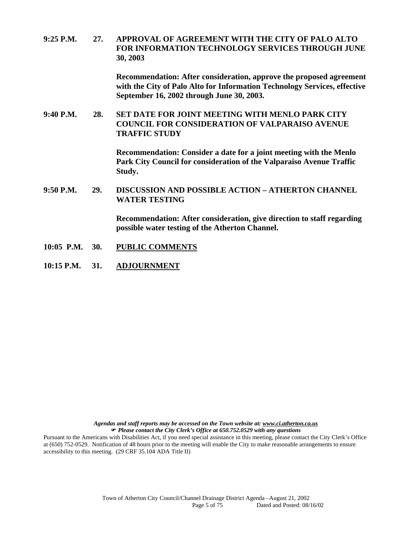**9:25 P.M. 27. APPROVAL OF AGREEMENT WITH THE CITY OF PALO ALTO FOR INFORMATION TECHNOLOGY SERVICES THROUGH JUNE 30, 2003** 

> **Recommendation: After consideration, approve the proposed agreement with the City of Palo Alto for Information Technology Services, effective September 16, 2002 through June 30, 2003.**

**9:40 P.M. 28. SET DATE FOR JOINT MEETING WITH MENLO PARK CITY COUNCIL FOR CONSIDERATION OF VALPARAISO AVENUE TRAFFIC STUDY** 

> **Recommendation: Consider a date for a joint meeting with the Menlo Park City Council for consideration of the Valparaiso Avenue Traffic Study.**

**9:50 P.M. 29. DISCUSSION AND POSSIBLE ACTION – ATHERTON CHANNEL WATER TESTING** 

> **Recommendation: After consideration, give direction to staff regarding possible water testing of the Atherton Channel.**

- **10:05 P.M. 30. PUBLIC COMMENTS**
- **10:15 P.M. 31. ADJOURNMENT**

*Agendas and staff reports may be accessed on the Town website at: www.ci.atherton.ca.us*  *Please contact the City Clerk's Office at 650.752.0529 with any questions* 

Pursuant to the Americans with Disabilities Act, if you need special assistance in this meeting, please contact the City Clerk's Office at (650) 752-0529. Notification of 48 hours prior to the meeting will enable the City to make reasonable arrangements to ensure accessibility to this meeting. (29 CRF 35.104 ADA Title II)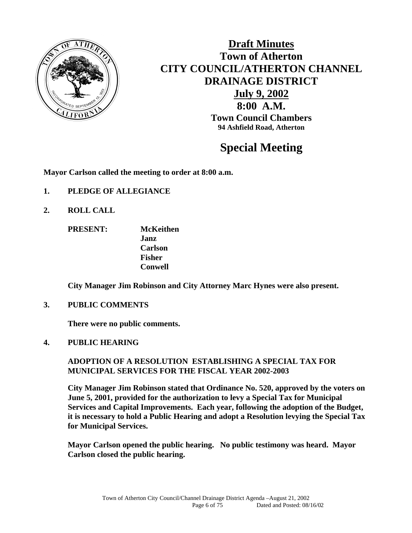

**Draft Minutes Town of Atherton CITY COUNCIL/ATHERTON CHANNEL DRAINAGE DISTRICT July 9, 2002 8:00 A.M. Town Council Chambers 94 Ashfield Road, Atherton** 

# **Special Meeting**

**Mayor Carlson called the meeting to order at 8:00 a.m.** 

- **1. PLEDGE OF ALLEGIANCE**
- **2. ROLL CALL** 
	- **PRESENT: McKeithen Janz Carlson Fisher Conwell**

 **City Manager Jim Robinson and City Attorney Marc Hynes were also present.** 

**3. PUBLIC COMMENTS** 

 **There were no public comments.** 

**4. PUBLIC HEARING** 

 **ADOPTION OF A RESOLUTION ESTABLISHING A SPECIAL TAX FOR MUNICIPAL SERVICES FOR THE FISCAL YEAR 2002-2003** 

**City Manager Jim Robinson stated that Ordinance No. 520, approved by the voters on June 5, 2001, provided for the authorization to levy a Special Tax for Municipal Services and Capital Improvements. Each year, following the adoption of the Budget, it is necessary to hold a Public Hearing and adopt a Resolution levying the Special Tax for Municipal Services.** 

**Mayor Carlson opened the public hearing. No public testimony was heard. Mayor Carlson closed the public hearing.**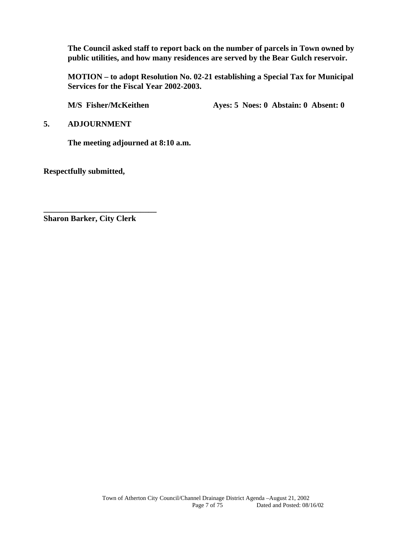**The Council asked staff to report back on the number of parcels in Town owned by public utilities, and how many residences are served by the Bear Gulch reservoir.** 

**MOTION – to adopt Resolution No. 02-21 establishing a Special Tax for Municipal Services for the Fiscal Year 2002-2003.** 

M/S Fisher/McKeithen **Ayes: 5 Noes: 0 Abstain: 0 Absent: 0** 

**5. ADJOURNMENT** 

 **The meeting adjourned at 8:10 a.m.** 

**Respectfully submitted,** 

**\_\_\_\_\_\_\_\_\_\_\_\_\_\_\_\_\_\_\_\_\_\_\_\_\_\_\_\_ Sharon Barker, City Clerk**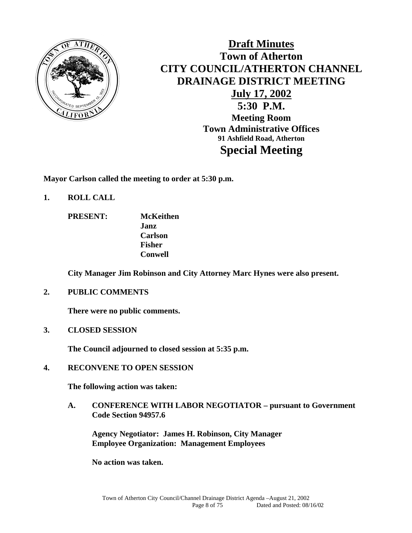

# **Draft Minutes Town of Atherton CITY COUNCIL/ATHERTON CHANNEL DRAINAGE DISTRICT MEETING July 17, 2002 5:30 P.M. Meeting Room Town Administrative Offices 91 Ashfield Road, Atherton Special Meeting**

**Mayor Carlson called the meeting to order at 5:30 p.m.** 

- **1. ROLL CALL** 
	- **PRESENT: McKeithen Janz Carlson Fisher Conwell**

 **City Manager Jim Robinson and City Attorney Marc Hynes were also present.** 

**2. PUBLIC COMMENTS** 

 **There were no public comments.** 

**3. CLOSED SESSION** 

 **The Council adjourned to closed session at 5:35 p.m.** 

**4. RECONVENE TO OPEN SESSION** 

 **The following action was taken:** 

**A. CONFERENCE WITH LABOR NEGOTIATOR – pursuant to Government Code Section 94957.6** 

 **Agency Negotiator: James H. Robinson, City Manager Employee Organization: Management Employees** 

**No action was taken.**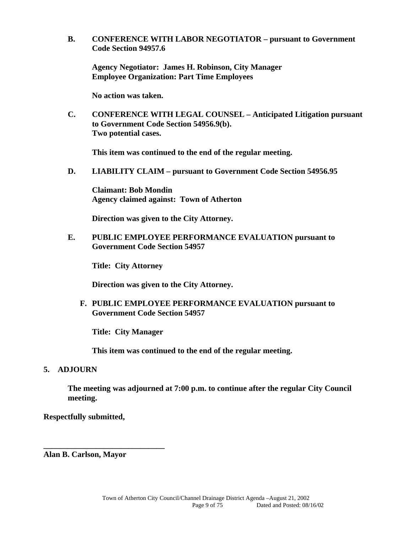**B. CONFERENCE WITH LABOR NEGOTIATOR – pursuant to Government Code Section 94957.6** 

 **Agency Negotiator: James H. Robinson, City Manager Employee Organization: Part Time Employees** 

 **No action was taken.** 

**C. CONFERENCE WITH LEGAL COUNSEL – Anticipated Litigation pursuant to Government Code Section 54956.9(b). Two potential cases.** 

 **This item was continued to the end of the regular meeting.** 

**D. LIABILITY CLAIM – pursuant to Government Code Section 54956.95** 

 **Claimant: Bob Mondin Agency claimed against: Town of Atherton** 

 **Direction was given to the City Attorney.** 

**E. PUBLIC EMPLOYEE PERFORMANCE EVALUATION pursuant to Government Code Section 54957** 

**Title: City Attorney** 

 **Direction was given to the City Attorney.** 

**F. PUBLIC EMPLOYEE PERFORMANCE EVALUATION pursuant to Government Code Section 54957** 

**Title: City Manager** 

 **This item was continued to the end of the regular meeting.** 

#### **5. ADJOURN**

**The meeting was adjourned at 7:00 p.m. to continue after the regular City Council meeting.** 

**Respectfully submitted,** 

**Alan B. Carlson, Mayor** 

**\_\_\_\_\_\_\_\_\_\_\_\_\_\_\_\_\_\_\_\_\_\_\_\_\_\_\_\_\_\_**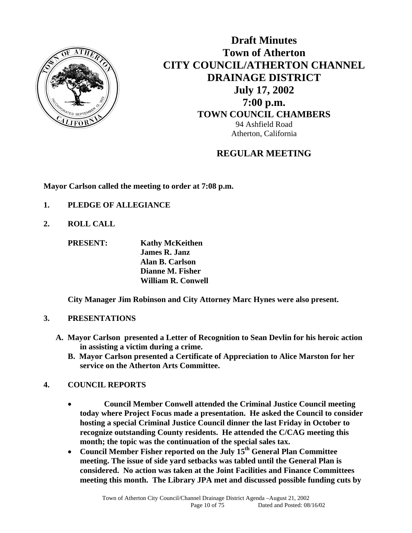

**Draft Minutes Town of Atherton CITY COUNCIL/ATHERTON CHANNEL DRAINAGE DISTRICT July 17, 2002 7:00 p.m. TOWN COUNCIL CHAMBERS** 94 Ashfield Road Atherton, California

# **REGULAR MEETING**

**Mayor Carlson called the meeting to order at 7:08 p.m.** 

- **1. PLEDGE OF ALLEGIANCE**
- **2. ROLL CALL**

 **PRESENT: Kathy McKeithen James R. Janz Alan B. Carlson Dianne M. Fisher William R. Conwell** 

 **City Manager Jim Robinson and City Attorney Marc Hynes were also present.** 

#### **3. PRESENTATIONS**

- **A. Mayor Carlson presented a Letter of Recognition to Sean Devlin for his heroic action in assisting a victim during a crime.** 
	- **B. Mayor Carlson presented a Certificate of Appreciation to Alice Marston for her service on the Atherton Arts Committee.**

#### **4. COUNCIL REPORTS**

- **Council Member Conwell attended the Criminal Justice Council meeting today where Project Focus made a presentation. He asked the Council to consider hosting a special Criminal Justice Council dinner the last Friday in October to recognize outstanding County residents. He attended the C/CAG meeting this month; the topic was the continuation of the special sales tax.**
- **Council Member Fisher reported on the July 15th General Plan Committee meeting. The issue of side yard setbacks was tabled until the General Plan is considered. No action was taken at the Joint Facilities and Finance Committees meeting this month. The Library JPA met and discussed possible funding cuts by**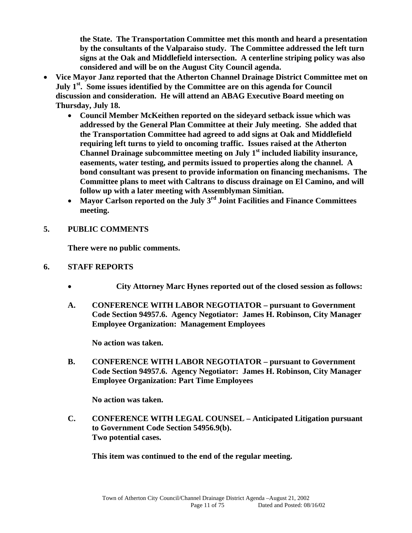**the State. The Transportation Committee met this month and heard a presentation by the consultants of the Valparaiso study. The Committee addressed the left turn signs at the Oak and Middlefield intersection. A centerline striping policy was also considered and will be on the August City Council agenda.** 

- **Vice Mayor Janz reported that the Atherton Channel Drainage District Committee met on July 1st. Some issues identified by the Committee are on this agenda for Council discussion and consideration. He will attend an ABAG Executive Board meeting on Thursday, July 18.** 
	- **Council Member McKeithen reported on the sideyard setback issue which was addressed by the General Plan Committee at their July meeting. She added that the Transportation Committee had agreed to add signs at Oak and Middlefield requiring left turns to yield to oncoming traffic. Issues raised at the Atherton**  Channel Drainage subcommittee meeting on July 1<sup>st</sup> included liability insurance, **easements, water testing, and permits issued to properties along the channel. A bond consultant was present to provide information on financing mechanisms. The Committee plans to meet with Caltrans to discuss drainage on El Camino, and will follow up with a later meeting with Assemblyman Simitian.**
	- **Mayor Carlson reported on the July 3rd Joint Facilities and Finance Committees meeting.**
- **5. PUBLIC COMMENTS**

**There were no public comments.** 

- **6. STAFF REPORTS** 
	- **City Attorney Marc Hynes reported out of the closed session as follows:**
	- **A. CONFERENCE WITH LABOR NEGOTIATOR pursuant to Government Code Section 94957.6. Agency Negotiator: James H. Robinson, City Manager Employee Organization: Management Employees**

**No action was taken.** 

**B. CONFERENCE WITH LABOR NEGOTIATOR – pursuant to Government Code Section 94957.6. Agency Negotiator: James H. Robinson, City Manager Employee Organization: Part Time Employees** 

 **No action was taken.** 

**C. CONFERENCE WITH LEGAL COUNSEL – Anticipated Litigation pursuant to Government Code Section 54956.9(b). Two potential cases.** 

 **This item was continued to the end of the regular meeting.**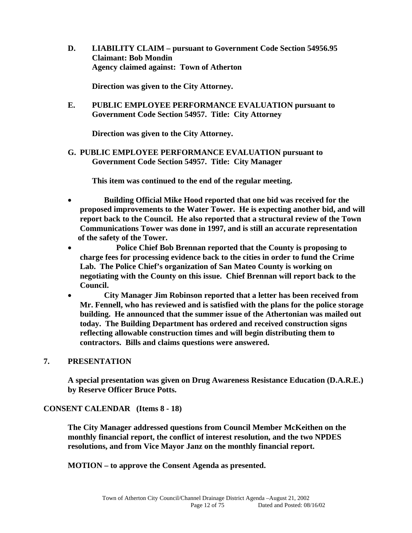**D. LIABILITY CLAIM – pursuant to Government Code Section 54956.95 Claimant: Bob Mondin Agency claimed against: Town of Atherton** 

 **Direction was given to the City Attorney.** 

**E. PUBLIC EMPLOYEE PERFORMANCE EVALUATION pursuant to Government Code Section 54957. Title: City Attorney** 

 **Direction was given to the City Attorney.** 

**G. PUBLIC EMPLOYEE PERFORMANCE EVALUATION pursuant to Government Code Section 54957. Title: City Manager** 

 **This item was continued to the end of the regular meeting.** 

- **Building Official Mike Hood reported that one bid was received for the proposed improvements to the Water Tower. He is expecting another bid, and will report back to the Council. He also reported that a structural review of the Town Communications Tower was done in 1997, and is still an accurate representation of the safety of the Tower.**
- **Police Chief Bob Brennan reported that the County is proposing to charge fees for processing evidence back to the cities in order to fund the Crime Lab. The Police Chief's organization of San Mateo County is working on negotiating with the County on this issue. Chief Brennan will report back to the Council.**
- **City Manager Jim Robinson reported that a letter has been received from Mr. Fennell, who has reviewed and is satisfied with the plans for the police storage building. He announced that the summer issue of the Athertonian was mailed out today. The Building Department has ordered and received construction signs reflecting allowable construction times and will begin distributing them to contractors. Bills and claims questions were answered.**

#### **7. PRESENTATION**

 **A special presentation was given on Drug Awareness Resistance Education (D.A.R.E.) by Reserve Officer Bruce Potts.** 

#### **CONSENT CALENDAR (Items 8 - 18)**

**The City Manager addressed questions from Council Member McKeithen on the monthly financial report, the conflict of interest resolution, and the two NPDES resolutions, and from Vice Mayor Janz on the monthly financial report.** 

 **MOTION – to approve the Consent Agenda as presented.**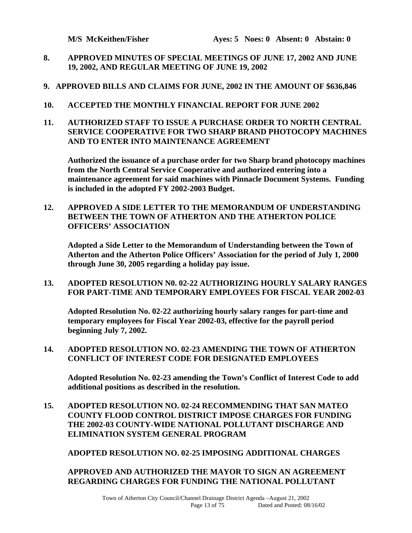- **8. APPROVED MINUTES OF SPECIAL MEETINGS OF JUNE 17, 2002 AND JUNE 19, 2002, AND REGULAR MEETING OF JUNE 19, 2002**
- **9. APPROVED BILLS AND CLAIMS FOR JUNE, 2002 IN THE AMOUNT OF \$636,846**
- **10. ACCEPTED THE MONTHLY FINANCIAL REPORT FOR JUNE 2002**
- **11. AUTHORIZED STAFF TO ISSUE A PURCHASE ORDER TO NORTH CENTRAL SERVICE COOPERATIVE FOR TWO SHARP BRAND PHOTOCOPY MACHINES AND TO ENTER INTO MAINTENANCE AGREEMENT**

 **Authorized the issuance of a purchase order for two Sharp brand photocopy machines from the North Central Service Cooperative and authorized entering into a maintenance agreement for said machines with Pinnacle Document Systems. Funding is included in the adopted FY 2002-2003 Budget.** 

**12. APPROVED A SIDE LETTER TO THE MEMORANDUM OF UNDERSTANDING BETWEEN THE TOWN OF ATHERTON AND THE ATHERTON POLICE OFFICERS' ASSOCIATION** 

 **Adopted a Side Letter to the Memorandum of Understanding between the Town of Atherton and the Atherton Police Officers' Association for the period of July 1, 2000 through June 30, 2005 regarding a holiday pay issue.** 

**13. ADOPTED RESOLUTION N0. 02-22 AUTHORIZING HOURLY SALARY RANGES FOR PART-TIME AND TEMPORARY EMPLOYEES FOR FISCAL YEAR 2002-03** 

 **Adopted Resolution No. 02-22 authorizing hourly salary ranges for part-time and temporary employees for Fiscal Year 2002-03, effective for the payroll period beginning July 7, 2002.** 

**14. ADOPTED RESOLUTION NO. 02-23 AMENDING THE TOWN OF ATHERTON CONFLICT OF INTEREST CODE FOR DESIGNATED EMPLOYEES** 

 **Adopted Resolution No. 02-23 amending the Town's Conflict of Interest Code to add additional positions as described in the resolution.** 

**15. ADOPTED RESOLUTION NO. 02-24 RECOMMENDING THAT SAN MATEO COUNTY FLOOD CONTROL DISTRICT IMPOSE CHARGES FOR FUNDING THE 2002-03 COUNTY-WIDE NATIONAL POLLUTANT DISCHARGE AND ELIMINATION SYSTEM GENERAL PROGRAM** 

 **ADOPTED RESOLUTION NO. 02-25 IMPOSING ADDITIONAL CHARGES** 

#### **APPROVED AND AUTHORIZED THE MAYOR TO SIGN AN AGREEMENT REGARDING CHARGES FOR FUNDING THE NATIONAL POLLUTANT**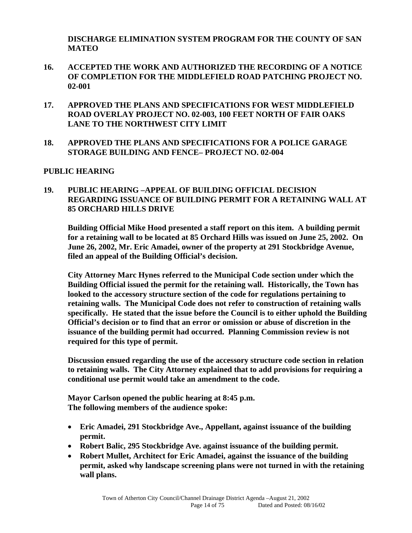**DISCHARGE ELIMINATION SYSTEM PROGRAM FOR THE COUNTY OF SAN MATEO** 

- **16. ACCEPTED THE WORK AND AUTHORIZED THE RECORDING OF A NOTICE OF COMPLETION FOR THE MIDDLEFIELD ROAD PATCHING PROJECT NO. 02-001**
- **17. APPROVED THE PLANS AND SPECIFICATIONS FOR WEST MIDDLEFIELD ROAD OVERLAY PROJECT NO. 02-003, 100 FEET NORTH OF FAIR OAKS LANE TO THE NORTHWEST CITY LIMIT**
- **18. APPROVED THE PLANS AND SPECIFICATIONS FOR A POLICE GARAGE STORAGE BUILDING AND FENCE– PROJECT NO. 02-004**

#### **PUBLIC HEARING**

#### **19. PUBLIC HEARING –APPEAL OF BUILDING OFFICIAL DECISION REGARDING ISSUANCE OF BUILDING PERMIT FOR A RETAINING WALL AT 85 ORCHARD HILLS DRIVE**

**Building Official Mike Hood presented a staff report on this item. A building permit for a retaining wall to be located at 85 Orchard Hills was issued on June 25, 2002. On June 26, 2002, Mr. Eric Amadei, owner of the property at 291 Stockbridge Avenue, filed an appeal of the Building Official's decision.** 

**City Attorney Marc Hynes referred to the Municipal Code section under which the Building Official issued the permit for the retaining wall. Historically, the Town has looked to the accessory structure section of the code for regulations pertaining to retaining walls. The Municipal Code does not refer to construction of retaining walls specifically. He stated that the issue before the Council is to either uphold the Building Official's decision or to find that an error or omission or abuse of discretion in the issuance of the building permit had occurred. Planning Commission review is not required for this type of permit.** 

**Discussion ensued regarding the use of the accessory structure code section in relation to retaining walls. The City Attorney explained that to add provisions for requiring a conditional use permit would take an amendment to the code.** 

 **Mayor Carlson opened the public hearing at 8:45 p.m. The following members of the audience spoke:** 

- **Eric Amadei, 291 Stockbridge Ave., Appellant, against issuance of the building permit.**
- **Robert Balic, 295 Stockbridge Ave. against issuance of the building permit.**
- **Robert Mullet, Architect for Eric Amadei, against the issuance of the building permit, asked why landscape screening plans were not turned in with the retaining wall plans.**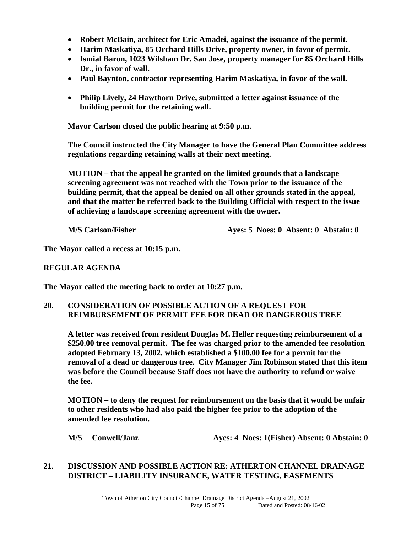- **Robert McBain, architect for Eric Amadei, against the issuance of the permit.**
- **Harim Maskatiya, 85 Orchard Hills Drive, property owner, in favor of permit.**
- **Ismial Baron, 1023 Wilsham Dr. San Jose, property manager for 85 Orchard Hills Dr., in favor of wall.**
- **Paul Baynton, contractor representing Harim Maskatiya, in favor of the wall.**
- **Philip Lively, 24 Hawthorn Drive, submitted a letter against issuance of the building permit for the retaining wall.**

**Mayor Carlson closed the public hearing at 9:50 p.m.** 

**The Council instructed the City Manager to have the General Plan Committee address regulations regarding retaining walls at their next meeting.** 

**MOTION – that the appeal be granted on the limited grounds that a landscape screening agreement was not reached with the Town prior to the issuance of the building permit, that the appeal be denied on all other grounds stated in the appeal, and that the matter be referred back to the Building Official with respect to the issue of achieving a landscape screening agreement with the owner.** 

 **M/S Carlson/Fisher Ayes: 5 Noes: 0 Absent: 0 Abstain: 0** 

**The Mayor called a recess at 10:15 p.m.** 

#### **REGULAR AGENDA**

**The Mayor called the meeting back to order at 10:27 p.m.** 

#### **20. CONSIDERATION OF POSSIBLE ACTION OF A REQUEST FOR REIMBURSEMENT OF PERMIT FEE FOR DEAD OR DANGEROUS TREE**

 **A letter was received from resident Douglas M. Heller requesting reimbursement of a \$250.00 tree removal permit. The fee was charged prior to the amended fee resolution adopted February 13, 2002, which established a \$100.00 fee for a permit for the removal of a dead or dangerous tree. City Manager Jim Robinson stated that this item was before the Council because Staff does not have the authority to refund or waive the fee.** 

 **MOTION – to deny the request for reimbursement on the basis that it would be unfair to other residents who had also paid the higher fee prior to the adoption of the amended fee resolution.** 

 **M/S Conwell/Janz Ayes: 4 Noes: 1(Fisher) Absent: 0 Abstain: 0** 

#### **21. DISCUSSION AND POSSIBLE ACTION RE: ATHERTON CHANNEL DRAINAGE DISTRICT – LIABILITY INSURANCE, WATER TESTING, EASEMENTS**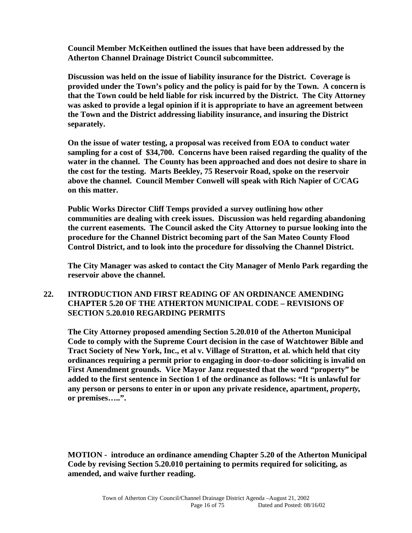**Council Member McKeithen outlined the issues that have been addressed by the Atherton Channel Drainage District Council subcommittee.** 

 **Discussion was held on the issue of liability insurance for the District. Coverage is provided under the Town's policy and the policy is paid for by the Town. A concern is that the Town could be held liable for risk incurred by the District. The City Attorney was asked to provide a legal opinion if it is appropriate to have an agreement between the Town and the District addressing liability insurance, and insuring the District separately.** 

**On the issue of water testing, a proposal was received from EOA to conduct water sampling for a cost of \$34,700. Concerns have been raised regarding the quality of the water in the channel. The County has been approached and does not desire to share in the cost for the testing. Marts Beekley, 75 Reservoir Road, spoke on the reservoir above the channel. Council Member Conwell will speak with Rich Napier of C/CAG on this matter.** 

**Public Works Director Cliff Temps provided a survey outlining how other communities are dealing with creek issues. Discussion was held regarding abandoning the current easements. The Council asked the City Attorney to pursue looking into the procedure for the Channel District becoming part of the San Mateo County Flood Control District, and to look into the procedure for dissolving the Channel District.** 

**The City Manager was asked to contact the City Manager of Menlo Park regarding the reservoir above the channel.** 

#### **22. INTRODUCTION AND FIRST READING OF AN ORDINANCE AMENDING CHAPTER 5.20 OF THE ATHERTON MUNICIPAL CODE – REVISIONS OF SECTION 5.20.010 REGARDING PERMITS**

 **The City Attorney proposed amending Section 5.20.010 of the Atherton Municipal Code to comply with the Supreme Court decision in the case of Watchtower Bible and Tract Society of New York, Inc., et al v. Village of Stratton, et al. which held that city ordinances requiring a permit prior to engaging in door-to-door soliciting is invalid on First Amendment grounds. Vice Mayor Janz requested that the word "property" be added to the first sentence in Section 1 of the ordinance as follows: "It is unlawful for any person or persons to enter in or upon any private residence, apartment,** *property,* **or premises…..".** 

 **MOTION - introduce an ordinance amending Chapter 5.20 of the Atherton Municipal Code by revising Section 5.20.010 pertaining to permits required for soliciting, as amended, and waive further reading.**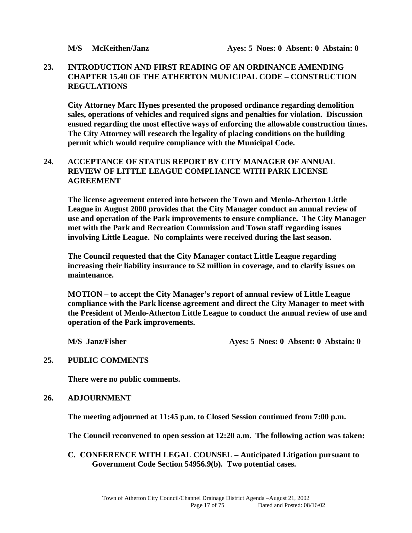#### **23. INTRODUCTION AND FIRST READING OF AN ORDINANCE AMENDING CHAPTER 15.40 OF THE ATHERTON MUNICIPAL CODE – CONSTRUCTION REGULATIONS**

 **City Attorney Marc Hynes presented the proposed ordinance regarding demolition sales, operations of vehicles and required signs and penalties for violation. Discussion ensued regarding the most effective ways of enforcing the allowable construction times. The City Attorney will research the legality of placing conditions on the building permit which would require compliance with the Municipal Code.** 

#### **24. ACCEPTANCE OF STATUS REPORT BY CITY MANAGER OF ANNUAL REVIEW OF LITTLE LEAGUE COMPLIANCE WITH PARK LICENSE AGREEMENT**

 **The license agreement entered into between the Town and Menlo-Atherton Little League in August 2000 provides that the City Manager conduct an annual review of use and operation of the Park improvements to ensure compliance. The City Manager met with the Park and Recreation Commission and Town staff regarding issues involving Little League. No complaints were received during the last season.** 

 **The Council requested that the City Manager contact Little League regarding increasing their liability insurance to \$2 million in coverage, and to clarify issues on maintenance.** 

 **MOTION – to accept the City Manager's report of annual review of Little League compliance with the Park license agreement and direct the City Manager to meet with the President of Menlo-Atherton Little League to conduct the annual review of use and operation of the Park improvements.** 

 **M/S** Janz/Fisher **Ayes: 5 Noes: 0 Absent: 0 Abstain: 0** 

#### **25. PUBLIC COMMENTS**

 **There were no public comments.** 

#### **26. ADJOURNMENT**

**The meeting adjourned at 11:45 p.m. to Closed Session continued from 7:00 p.m.** 

**The Council reconvened to open session at 12:20 a.m. The following action was taken:** 

#### **C. CONFERENCE WITH LEGAL COUNSEL – Anticipated Litigation pursuant to Government Code Section 54956.9(b). Two potential cases.**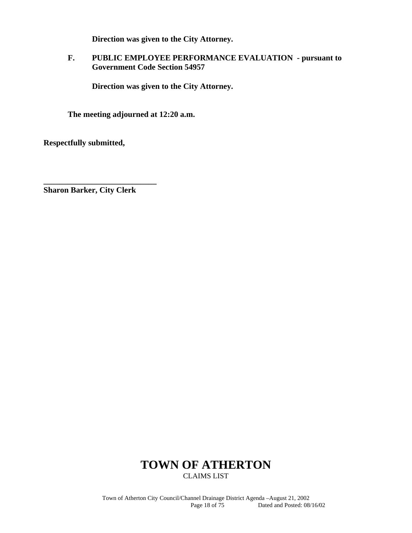**Direction was given to the City Attorney.** 

### **F. PUBLIC EMPLOYEE PERFORMANCE EVALUATION - pursuant to Government Code Section 54957**

**Direction was given to the City Attorney.** 

**The meeting adjourned at 12:20 a.m.** 

**Respectfully submitted,** 

**Sharon Barker, City Clerk** 

**\_\_\_\_\_\_\_\_\_\_\_\_\_\_\_\_\_\_\_\_\_\_\_\_\_\_\_\_** 

## **TOWN OF ATHERTON**  CLAIMS LIST

Town of Atherton City Council/Channel Drainage District Agenda –August 21, 2002 Dated and Posted: 08/16/02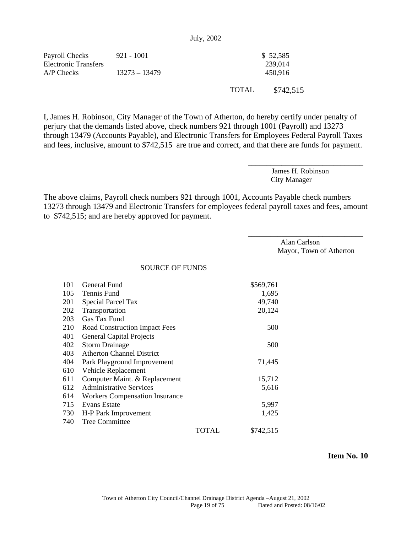|  | July, 2002 |  |
|--|------------|--|
|  |            |  |

| Payroll Checks<br>Electronic Transfers<br>$AP$ Checks | 921 - 1001<br>$13273 - 13479$ |              | \$52,585<br>239,014<br>450.916 |
|-------------------------------------------------------|-------------------------------|--------------|--------------------------------|
|                                                       |                               | <b>TOTAL</b> | \$742.515                      |

I, James H. Robinson, City Manager of the Town of Atherton, do hereby certify under penalty of perjury that the demands listed above, check numbers 921 through 1001 (Payroll) and 13273 through 13479 (Accounts Payable), and Electronic Transfers for Employees Federal Payroll Taxes and fees, inclusive, amount to \$742,515 are true and correct, and that there are funds for payment.

> James H. Robinson City Manager

\_\_\_\_\_\_\_\_\_\_\_\_\_\_\_\_\_\_\_\_\_\_\_\_\_\_\_\_\_\_\_

The above claims, Payroll check numbers 921 through 1001, Accounts Payable check numbers 13273 through 13479 and Electronic Transfers for employees federal payroll taxes and fees, amount to \$742,515; and are hereby approved for payment.

> Alan Carlson Mayor, Town of Atherton

\_\_\_\_\_\_\_\_\_\_\_\_\_\_\_\_\_\_\_\_\_\_\_\_\_\_\_\_\_\_\_

SOURCE OF FUNDS

| 101 | General Fund                          |       | \$569,761 |
|-----|---------------------------------------|-------|-----------|
| 105 | Tennis Fund                           |       | 1,695     |
| 201 | Special Parcel Tax                    |       | 49,740    |
| 202 | Transportation                        |       | 20,124    |
| 203 | Gas Tax Fund                          |       |           |
| 210 | Road Construction Impact Fees         |       | 500       |
| 401 | <b>General Capital Projects</b>       |       |           |
| 402 | <b>Storm Drainage</b>                 |       | 500       |
| 403 | <b>Atherton Channel District</b>      |       |           |
| 404 | Park Playground Improvement           |       | 71,445    |
| 610 | Vehicle Replacement                   |       |           |
| 611 | Computer Maint. & Replacement         |       | 15,712    |
| 612 | <b>Administrative Services</b>        |       | 5,616     |
| 614 | <b>Workers Compensation Insurance</b> |       |           |
| 715 | <b>Evans Estate</b>                   |       | 5,997     |
| 730 | H-P Park Improvement                  |       | 1,425     |
| 740 | <b>Tree Committee</b>                 |       |           |
|     |                                       | TOTAL | \$742,515 |

 **Item No. 10**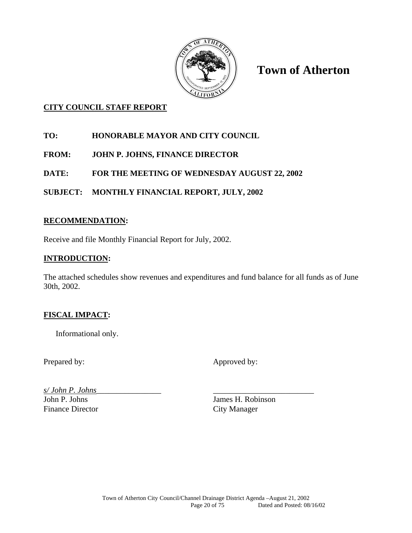

**Town of Atherton** 

## **CITY COUNCIL STAFF REPORT**

- **TO: HONORABLE MAYOR AND CITY COUNCIL**
- **FROM: JOHN P. JOHNS, FINANCE DIRECTOR**
- **DATE: FOR THE MEETING OF WEDNESDAY AUGUST 22, 2002**
- **SUBJECT: MONTHLY FINANCIAL REPORT, JULY, 2002**

## **RECOMMENDATION:**

Receive and file Monthly Financial Report for July, 2002.

## **INTRODUCTION:**

The attached schedules show revenues and expenditures and fund balance for all funds as of June 30th, 2002.

## **FISCAL IMPACT:**

Informational only.

Prepared by: Approved by:

*s/ John P. Johns*\_\_\_\_\_\_\_\_\_\_\_\_\_\_\_\_ \_\_\_\_\_\_\_\_\_\_\_\_\_\_\_\_\_\_\_\_\_\_\_\_\_ John P. Johns James H. Robinson Finance Director City Manager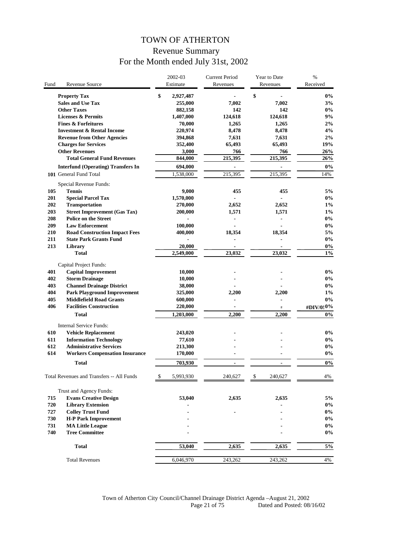# TOWN OF ATHERTON Revenue Summary For the Month ended July 31st, 2002

|      |                                           | 2002-03<br>Estimate | <b>Current Period</b>    |    | Year to Date             | $\%$<br>Received |
|------|-------------------------------------------|---------------------|--------------------------|----|--------------------------|------------------|
| Fund | Revenue Source                            |                     | Revenues                 |    | Revenues                 |                  |
|      | <b>Property Tax</b>                       | \$<br>2,927,487     |                          | \$ |                          | $0\%$            |
|      | <b>Sales and Use Tax</b>                  | 255,000             | 7,002                    |    | 7,002                    | 3%               |
|      | <b>Other Taxes</b>                        | 882,158             | 142                      |    | 142                      | $0\%$            |
|      | <b>Licenses &amp; Permits</b>             | 1,407,000           | 124,618                  |    | 124,618                  | 9%               |
|      | <b>Fines &amp; Forfeitures</b>            | 70,000              | 1,265                    |    | 1,265                    | 2%               |
|      | <b>Investment &amp; Rental Income</b>     | 220,974             | 8,478                    |    | 8,478                    | 4%               |
|      | <b>Revenue from Other Agencies</b>        | 394,868             | 7,631                    |    | 7,631                    | 2%               |
|      | <b>Charges for Services</b>               | 352,400             | 65,493                   |    | 65,493                   | 19%              |
|      | <b>Other Revenues</b>                     | 3,000               | 766                      |    | 766                      | 26%              |
|      | <b>Total General Fund Revenues</b>        | 844,000             | 215,395                  |    | 215,395                  | 26%              |
|      | <b>Interfund (Operating) Transfers In</b> | 694,000             | $\blacksquare$           |    | $\blacksquare$           | $0\%$            |
|      | 101 General Fund Total                    | 1,538,000           | 215,395                  |    | 215,395                  | 14%              |
|      |                                           |                     |                          |    |                          |                  |
|      | Special Revenue Funds:                    |                     |                          |    |                          |                  |
| 105  | <b>Tennis</b>                             | 9,000               | 455                      |    | 455                      | 5%               |
| 201  | <b>Special Parcel Tax</b>                 | 1,570,000           | $\blacksquare$           |    | $\overline{a}$           | $0\%$            |
| 202  | <b>Transportation</b>                     | 270,000             | 2,652                    |    | 2,652                    | $1\%$            |
| 203  | <b>Street Improvement (Gas Tax)</b>       | 200,000             | 1,571                    |    | 1,571                    | $1\%$            |
| 208  | <b>Police on the Street</b>               |                     |                          |    |                          | $0\%$            |
| 209  | <b>Law Enforcement</b>                    | 100,000             |                          |    |                          | $0\%$            |
| 210  | <b>Road Construction Impact Fees</b>      | 400,000             | 18,354                   |    | 18,354                   | 5%               |
| 211  | <b>State Park Grants Fund</b>             |                     |                          |    |                          | $0\%$            |
| 213  | Library                                   | 20,000              |                          |    |                          | $0\%$            |
|      | <b>Total</b>                              | 2,549,000           | 23,032                   |    | 23,032                   | $1\%$            |
|      | Capital Project Funds:                    |                     |                          |    |                          |                  |
| 401  | <b>Capital Improvement</b>                | 10,000              |                          |    |                          | $0\%$            |
| 402  | <b>Storm Drainage</b>                     | 10,000              |                          |    |                          | $0\%$            |
| 403  | <b>Channel Drainage District</b>          | 38,000              |                          |    |                          | $0\%$            |
| 404  | <b>Park Playground Improvement</b>        | 325,000             | 2,200                    |    | 2,200                    | $1\%$            |
| 405  | <b>Middlefield Road Grants</b>            | 600,000             |                          |    |                          | $0\%$            |
| 406  | <b>Facilities Construction</b>            | 220,000             |                          |    | Ξ                        | #DIV/0!0%        |
|      | Total                                     | 1,203,000           | 2,200                    |    | 2,200                    | $0\%$            |
|      |                                           |                     |                          |    |                          |                  |
|      | Internal Service Funds:                   |                     |                          |    |                          |                  |
| 610  | <b>Vehicle Replacement</b>                | 243,020             |                          |    |                          | $0\%$            |
| 611  | <b>Information Technology</b>             | 77,610              |                          |    |                          | $0\%$            |
| 612  | <b>Administrative Services</b>            | 213,300             |                          |    |                          | $0\%$            |
| 614  | <b>Workers Compensation Insurance</b>     | 170,000             |                          |    |                          | $0\%$            |
|      | <b>Total</b>                              | 703,930             | $\overline{\phantom{a}}$ |    | $\overline{\phantom{a}}$ | $0\%$            |
|      |                                           |                     |                          |    |                          |                  |
|      | Total Revenues and Transfers -- All Funds | 5.993,930           | 240.627                  | ፍ  | 240.627                  | 4%               |
|      |                                           |                     |                          |    |                          |                  |
|      | Trust and Agency Funds:                   |                     |                          |    |                          |                  |
| 715  | <b>Evans Creative Design</b>              | 53,040              | 2,635                    |    | 2,635                    | 5%               |
| 720  | <b>Library Extension</b>                  |                     |                          |    |                          | $0\%$            |
| 727  | <b>Colley Trust Fund</b>                  |                     |                          |    |                          | $0\%$            |
| 730  | <b>H-P Park Improvement</b>               |                     |                          |    |                          | $0\%$            |
| 731  | <b>MA Little League</b>                   |                     |                          |    |                          | $0\%$            |
| 740  | <b>Tree Committee</b>                     |                     |                          |    |                          | $0\%$            |
|      |                                           |                     |                          |    |                          |                  |
|      | <b>Total</b>                              | 53,040              | 2,635                    |    | 2,635                    | 5%               |
|      | <b>Total Revenues</b>                     | 6,046,970           | 243,262                  |    | 243,262                  | 4%               |
|      |                                           |                     |                          |    |                          |                  |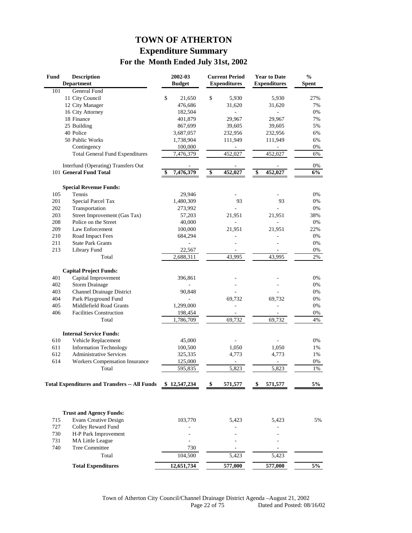# **TOWN OF ATHERTON Expenditure Summary For the Month Ended July 31st, 2002**

| Fund | <b>Description</b><br><b>Department</b>              | 2002-03<br><b>Budget</b> | <b>Current Period</b><br><b>Expenditures</b> | <b>Year to Date</b><br><b>Expenditures</b> | $\frac{0}{0}$<br><b>Spent</b> |
|------|------------------------------------------------------|--------------------------|----------------------------------------------|--------------------------------------------|-------------------------------|
| 101  | General Fund                                         |                          |                                              |                                            |                               |
|      | 11 City Council                                      | \$<br>21,650             | \$<br>5,930                                  | 5,930                                      | 27%                           |
|      | 12 City Manager                                      | 476,686                  | 31,620                                       | 31,620                                     | 7%                            |
|      | 16 City Attorney                                     | 182,504                  |                                              |                                            | 0%                            |
|      | 18 Finance                                           | 401,879                  | 29,967                                       | 29,967                                     | 7%                            |
|      | 25 Building                                          | 867,699                  | 39,605                                       | 39,605                                     | 5%                            |
|      | 40 Police                                            | 3,687,057                | 232,956                                      | 232,956                                    | 6%                            |
|      | 50 Public Works                                      | 1,738,904                | 111,949                                      | 111,949                                    | 6%                            |
|      | Contingency                                          | 100,000                  | ÷                                            | $\frac{1}{2}$                              | 0%                            |
|      | <b>Total General Fund Expenditures</b>               | 7,476,379                | 452,027                                      | 452,027                                    | 6%                            |
|      | Interfund (Operating) Transfers Out                  |                          |                                              |                                            | 0%                            |
|      | 101 General Fund Total                               | 7,476,379                | \$<br>452,027                                | \$<br>452,027                              | 6%                            |
|      | <b>Special Revenue Funds:</b>                        |                          |                                              |                                            |                               |
| 105  | Tennis                                               | 29,946                   |                                              |                                            | 0%                            |
| 201  | Special Parcel Tax                                   | 1,480,309                | 93                                           | 93                                         | 0%                            |
| 202  | Transportation                                       | 273,992                  |                                              |                                            | $0\%$                         |
| 203  | Street Improvement (Gas Tax)                         | 57,203                   | 21,951                                       | 21,951                                     | 38%                           |
| 208  | Police on the Street                                 | 40,000                   |                                              |                                            | 0%                            |
| 209  | Law Enforcement                                      | 100,000                  | 21,951                                       | 21,951                                     | 22%                           |
| 210  | Road Impact Fees                                     | 684,294                  |                                              |                                            | 0%                            |
| 211  | <b>State Park Grants</b>                             |                          |                                              |                                            | 0%                            |
| 213  | Library Fund                                         | 22,567                   | $\overline{\phantom{a}}$                     | $\overline{\phantom{a}}$                   | 0%                            |
|      | Total                                                | 2,688,311                | 43,995                                       | 43,995                                     | 2%                            |
|      |                                                      |                          |                                              |                                            |                               |
|      | <b>Capital Project Funds:</b>                        |                          |                                              |                                            |                               |
| 401  | Capital Improvement                                  | 396,861                  |                                              |                                            | 0%                            |
| 402  | <b>Storm Drainage</b>                                |                          |                                              |                                            | 0%                            |
| 403  | <b>Channel Drainage District</b>                     | 90,848                   |                                              |                                            | 0%                            |
| 404  | Park Playground Fund                                 | ä,                       | 69,732                                       | 69,732                                     | 0%                            |
| 405  | Middlefield Road Grants                              | 1,299,000                |                                              |                                            | 0%                            |
| 406  | <b>Facilities Construction</b>                       | 198,454                  |                                              |                                            | 0%                            |
|      | Total                                                | 1,786,709                | 69,732                                       | 69,732                                     | 4%                            |
|      | <b>Internal Service Funds:</b>                       |                          |                                              |                                            |                               |
| 610  | Vehicle Replacement                                  | 45,000                   |                                              |                                            | 0%                            |
| 611  | <b>Information Technology</b>                        | 100,500                  | 1,050                                        | 1,050                                      | 1%                            |
| 612  | <b>Administrative Services</b>                       | 325,335                  | 4,773                                        | 4,773                                      | 1%                            |
| 614  | <b>Workers Compensation Insurance</b>                | 125,000                  |                                              |                                            | 0%                            |
|      | Total                                                | 595,835                  | 5,823                                        | 5,823                                      | 1%                            |
|      |                                                      |                          |                                              |                                            |                               |
|      | <b>Total Expenditures and Transfers -- All Funds</b> | \$12,547,234             | 571,577                                      | 571,577                                    | 5%                            |
|      |                                                      |                          |                                              |                                            |                               |
|      | <b>Trust and Agency Funds:</b>                       |                          |                                              |                                            |                               |
| 715  | <b>Evans Creative Design</b>                         | 103,770                  | 5,423                                        | 5,423                                      | 5%                            |
| 727  | Colley Reward Fund                                   |                          |                                              |                                            |                               |
| 730  | H-P Park Improvement                                 |                          |                                              |                                            |                               |
| 731  | <b>MA Little League</b>                              | ٠                        |                                              |                                            |                               |
| 740  | Tree Committee                                       | 730                      |                                              |                                            |                               |
|      | Total                                                | 104,500                  | 5,423                                        | 5,423                                      |                               |
|      | <b>Total Expenditures</b>                            | 12,651,734               | 577,000                                      | 577,000                                    | $5\%$                         |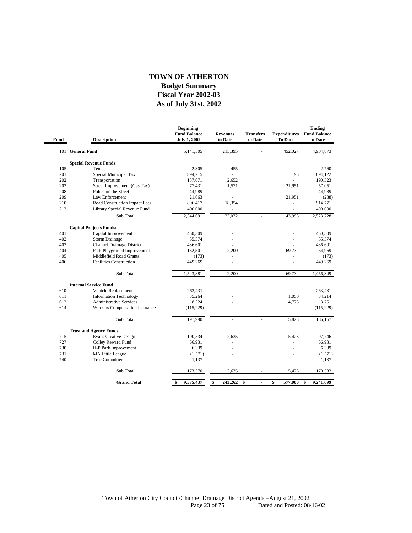#### **As of July 31st, 2002 Fiscal Year 2002-03 Budget Summary TOWN OF ATHERTON**

-

| Fund | <b>Description</b>                                  | <b>Beginning</b><br><b>Fund Balance</b><br><b>July 1, 2002</b> | <b>Revenues</b><br>to Date | <b>Transfers</b><br>to Date | <b>Expenditures</b><br><b>To Date</b> | <b>Ending</b><br><b>Fund Balance</b><br>to Date |
|------|-----------------------------------------------------|----------------------------------------------------------------|----------------------------|-----------------------------|---------------------------------------|-------------------------------------------------|
|      | 101 General Fund                                    | 5,141,505                                                      | 215,395                    |                             | 452,027                               | 4,904,873                                       |
|      | <b>Special Revenue Funds:</b>                       |                                                                |                            |                             |                                       |                                                 |
| 105  | Tennis                                              | 22,305                                                         | 455                        |                             | ÷,                                    | 22,760                                          |
| 201  | Special Municipal Tax                               | 894,215                                                        | L.                         |                             | 93                                    | 894,122                                         |
| 202  | Transportation                                      | 187,671                                                        | 2,652                      |                             |                                       | 190,323                                         |
| 203  | Street Improvement (Gas Tax)                        | 77,431                                                         | 1,571                      |                             | 21.951                                | 57,051                                          |
| 208  | Police on the Street                                | 44,989                                                         | ÷,                         |                             | ä,                                    | 44,989                                          |
| 209  | Law Enforcement                                     | 21,663                                                         |                            |                             | 21,951                                | (288)                                           |
| 210  | Road Construction Impact Fees                       | 896,417                                                        | 18,354                     |                             |                                       | 914,771                                         |
| 213  | Library Special Revenue Fund                        | 400,000                                                        | ÷,                         |                             | ä,                                    | 400,000                                         |
|      | Sub Total                                           | 2,544,691                                                      | 23,032                     | ÷.                          | 43,995                                | 2,523,728                                       |
|      | <b>Capital Projects Funds:</b>                      |                                                                |                            |                             |                                       |                                                 |
| 401  | Capital Improvement                                 | 450,309                                                        |                            |                             |                                       | 450,309                                         |
| 402  | <b>Storm Drainage</b>                               | 55,374                                                         |                            |                             |                                       | 55,374                                          |
| 403  | <b>Channel Drainage District</b>                    | 436,601                                                        |                            |                             |                                       | 436,601                                         |
| 404  | Park Playground Improvement                         | 132,501                                                        | 2,200                      |                             | 69,732                                | 64,969                                          |
| 405  | Middlefield Road Grants                             | (173)                                                          |                            |                             |                                       | (173)                                           |
| 406  | <b>Facilities Construction</b>                      | 449,269                                                        |                            |                             |                                       | 449,269                                         |
|      | Sub Total                                           | 1,523,881                                                      | 2,200                      | ÷,                          | 69,732                                | 1,456,349                                       |
|      |                                                     |                                                                |                            |                             |                                       |                                                 |
| 610  | <b>Internal Service Fund</b><br>Vehicle Replacement | 263,431                                                        |                            |                             |                                       | 263,431                                         |
| 611  | <b>Information Technology</b>                       | 35,264                                                         |                            |                             | 1,050                                 | 34,214                                          |
| 612  | <b>Administrative Services</b>                      | 8,524                                                          |                            |                             | 4,773                                 | 3,751                                           |
| 614  | Workers Compensation Insurance                      | (115, 229)                                                     |                            |                             |                                       | (115, 229)                                      |
|      | Sub Total                                           | 191,990                                                        | ä,                         | ×.                          | 5,823                                 | 186,167                                         |
|      |                                                     |                                                                |                            |                             |                                       |                                                 |
|      | <b>Trust and Agency Funds</b>                       |                                                                |                            |                             |                                       |                                                 |
| 715  | <b>Evans Creative Design</b>                        | 100,534                                                        | 2,635                      |                             | 5,423                                 | 97,746                                          |
| 727  | Colley Reward Fund                                  | 66,931                                                         |                            |                             |                                       | 66,931                                          |
| 730  | H-P Park Improvement                                | 6,339                                                          |                            |                             |                                       | 6,339                                           |
| 731  | <b>MA Little League</b>                             | (1, 571)                                                       |                            |                             |                                       | (1,571)                                         |
| 740  | <b>Tree Committee</b>                               | 1,137                                                          |                            |                             |                                       | 1,137                                           |
|      | Sub Total                                           | 173,370                                                        | 2,635                      |                             | 5,423                                 | 170,582                                         |
|      | <b>Grand Total</b>                                  | \$<br>9,575,437                                                | \$<br>243,262              | \$<br>$\overline{a}$        | \$<br>577,000                         | \$<br>9,241,699                                 |
|      |                                                     |                                                                |                            |                             |                                       |                                                 |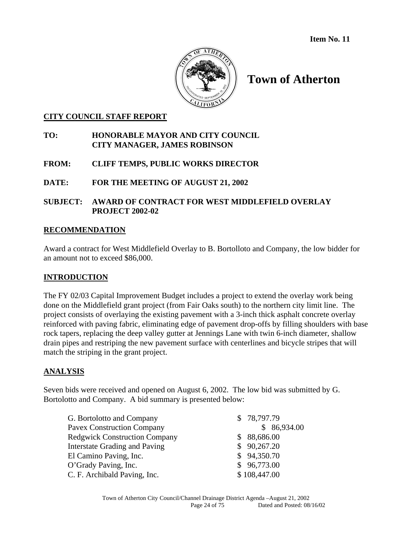

# **Town of Atherton**

#### **CITY COUNCIL STAFF REPORT**

#### **TO: HONORABLE MAYOR AND CITY COUNCIL CITY MANAGER, JAMES ROBINSON**

#### **FROM: CLIFF TEMPS, PUBLIC WORKS DIRECTOR**

**DATE: FOR THE MEETING OF AUGUST 21, 2002**

#### **SUBJECT: AWARD OF CONTRACT FOR WEST MIDDLEFIELD OVERLAY PROJECT 2002-02**

#### **RECOMMENDATION**

Award a contract for West Middlefield Overlay to B. Bortolloto and Company, the low bidder for an amount not to exceed \$86,000.

#### **INTRODUCTION**

The FY 02/03 Capital Improvement Budget includes a project to extend the overlay work being done on the Middlefield grant project (from Fair Oaks south) to the northern city limit line. The project consists of overlaying the existing pavement with a 3-inch thick asphalt concrete overlay reinforced with paving fabric, eliminating edge of pavement drop-offs by filling shoulders with base rock tapers, replacing the deep valley gutter at Jennings Lane with twin 6-inch diameter, shallow drain pipes and restriping the new pavement surface with centerlines and bicycle stripes that will match the striping in the grant project.

#### **ANALYSIS**

Seven bids were received and opened on August 6, 2002. The low bid was submitted by G. Bortolotto and Company. A bid summary is presented below:

| G. Bortolotto and Company            | \$78,797.79  |
|--------------------------------------|--------------|
| <b>Pavex Construction Company</b>    | \$86,934.00  |
| <b>Redgwick Construction Company</b> | \$88,686.00  |
| Interstate Grading and Paving        | \$90,267.20  |
| El Camino Paving, Inc.               | \$94,350.70  |
| O'Grady Paving, Inc.                 | \$96,773.00  |
| C. F. Archibald Paving, Inc.         | \$108,447.00 |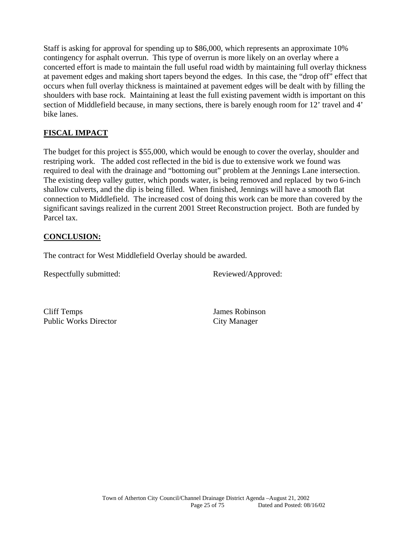Staff is asking for approval for spending up to \$86,000, which represents an approximate 10% contingency for asphalt overrun. This type of overrun is more likely on an overlay where a concerted effort is made to maintain the full useful road width by maintaining full overlay thickness at pavement edges and making short tapers beyond the edges. In this case, the "drop off" effect that occurs when full overlay thickness is maintained at pavement edges will be dealt with by filling the shoulders with base rock. Maintaining at least the full existing pavement width is important on this section of Middlefield because, in many sections, there is barely enough room for 12' travel and 4' bike lanes.

## **FISCAL IMPACT**

The budget for this project is \$55,000, which would be enough to cover the overlay, shoulder and restriping work. The added cost reflected in the bid is due to extensive work we found was required to deal with the drainage and "bottoming out" problem at the Jennings Lane intersection. The existing deep valley gutter, which ponds water, is being removed and replaced by two 6-inch shallow culverts, and the dip is being filled. When finished, Jennings will have a smooth flat connection to Middlefield. The increased cost of doing this work can be more than covered by the significant savings realized in the current 2001 Street Reconstruction project. Both are funded by Parcel tax.

## **CONCLUSION:**

The contract for West Middlefield Overlay should be awarded.

Respectfully submitted: Reviewed/Approved:

Cliff Temps James Robinson Public Works Director City Manager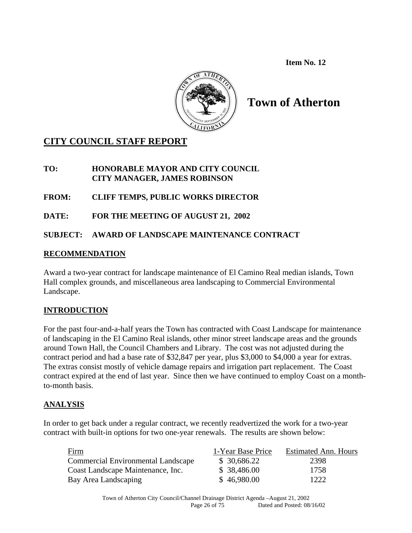**Item No. 12** 



# **Town of Atherton**

# **CITY COUNCIL STAFF REPORT**

## **TO: HONORABLE MAYOR AND CITY COUNCIL CITY MANAGER, JAMES ROBINSON**

## **FROM: CLIFF TEMPS, PUBLIC WORKS DIRECTOR**

**DATE: FOR THE MEETING OF AUGUST 21, 2002** 

## **SUBJECT: AWARD OF LANDSCAPE MAINTENANCE CONTRACT**

#### **RECOMMENDATION**

Award a two-year contract for landscape maintenance of El Camino Real median islands, Town Hall complex grounds, and miscellaneous area landscaping to Commercial Environmental Landscape.

## **INTRODUCTION**

For the past four-and-a-half years the Town has contracted with Coast Landscape for maintenance of landscaping in the El Camino Real islands, other minor street landscape areas and the grounds around Town Hall, the Council Chambers and Library. The cost was not adjusted during the contract period and had a base rate of \$32,847 per year, plus \$3,000 to \$4,000 a year for extras. The extras consist mostly of vehicle damage repairs and irrigation part replacement. The Coast contract expired at the end of last year. Since then we have continued to employ Coast on a monthto-month basis.

#### **ANALYSIS**

In order to get back under a regular contract, we recently readvertized the work for a two-year contract with built-in options for two one-year renewals. The results are shown below:

| Firm                                      | 1-Year Base Price | <b>Estimated Ann. Hours</b> |
|-------------------------------------------|-------------------|-----------------------------|
| <b>Commercial Environmental Landscape</b> | \$ 30,686.22      | 2398                        |
| Coast Landscape Maintenance, Inc.         | \$38,486.00       | 1758                        |
| Bay Area Landscaping                      | \$46,980.00       | 1222                        |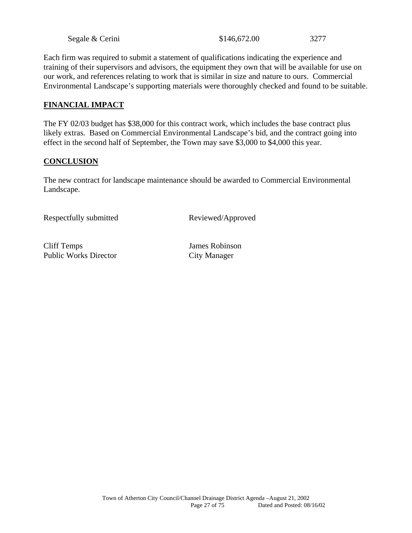| Segale & Cerini | \$146,672.00 | 3277 |
|-----------------|--------------|------|
|-----------------|--------------|------|

Each firm was required to submit a statement of qualifications indicating the experience and training of their supervisors and advisors, the equipment they own that will be available for use on our work, and references relating to work that is similar in size and nature to ours. Commercial Environmental Landscape's supporting materials were thoroughly checked and found to be suitable.

#### **FINANCIAL IMPACT**

The FY 02/03 budget has \$38,000 for this contract work, which includes the base contract plus likely extras. Based on Commercial Environmental Landscape's bid, and the contract going into effect in the second half of September, the Town may save \$3,000 to \$4,000 this year.

#### **CONCLUSION**

The new contract for landscape maintenance should be awarded to Commercial Environmental Landscape.

Respectfully submitted Reviewed/Approved

Cliff Temps James Robinson Public Works Director City Manager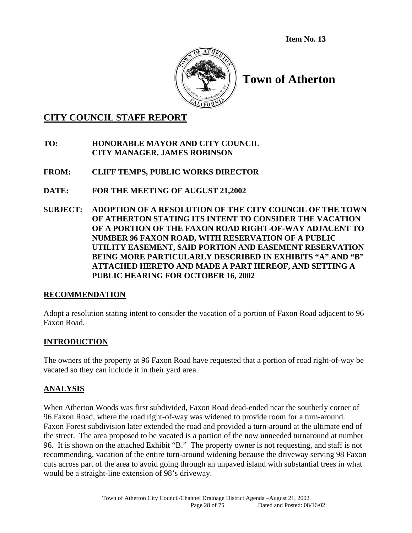**Item No. 13** 



# **Town of Atherton**

## **CITY COUNCIL STAFF REPORT**

#### **TO: HONORABLE MAYOR AND CITY COUNCIL CITY MANAGER, JAMES ROBINSON**

## **FROM: CLIFF TEMPS, PUBLIC WORKS DIRECTOR**

- **DATE: FOR THE MEETING OF AUGUST 21,2002**
- **SUBJECT: ADOPTION OF A RESOLUTION OF THE CITY COUNCIL OF THE TOWN OF ATHERTON STATING ITS INTENT TO CONSIDER THE VACATION OF A PORTION OF THE FAXON ROAD RIGHT-OF-WAY ADJACENT TO NUMBER 96 FAXON ROAD, WITH RESERVATION OF A PUBLIC UTILITY EASEMENT, SAID PORTION AND EASEMENT RESERVATION BEING MORE PARTICULARLY DESCRIBED IN EXHIBITS "A" AND "B" ATTACHED HERETO AND MADE A PART HEREOF, AND SETTING A PUBLIC HEARING FOR OCTOBER 16, 2002**

#### **RECOMMENDATION**

Adopt a resolution stating intent to consider the vacation of a portion of Faxon Road adjacent to 96 Faxon Road.

#### **INTRODUCTION**

The owners of the property at 96 Faxon Road have requested that a portion of road right-of-way be vacated so they can include it in their yard area.

#### **ANALYSIS**

When Atherton Woods was first subdivided, Faxon Road dead-ended near the southerly corner of 96 Faxon Road, where the road right-of-way was widened to provide room for a turn-around. Faxon Forest subdivision later extended the road and provided a turn-around at the ultimate end of the street. The area proposed to be vacated is a portion of the now unneeded turnaround at number 96. It is shown on the attached Exhibit "B." The property owner is not requesting, and staff is not recommending, vacation of the entire turn-around widening because the driveway serving 98 Faxon cuts across part of the area to avoid going through an unpaved island with substantial trees in what would be a straight-line extension of 98's driveway.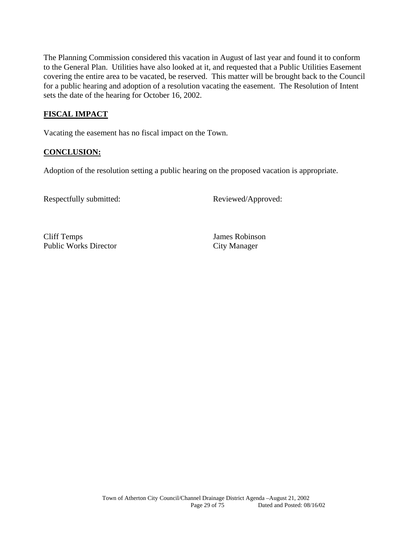The Planning Commission considered this vacation in August of last year and found it to conform to the General Plan. Utilities have also looked at it, and requested that a Public Utilities Easement covering the entire area to be vacated, be reserved. This matter will be brought back to the Council for a public hearing and adoption of a resolution vacating the easement. The Resolution of Intent sets the date of the hearing for October 16, 2002.

### **FISCAL IMPACT**

Vacating the easement has no fiscal impact on the Town.

## **CONCLUSION:**

Adoption of the resolution setting a public hearing on the proposed vacation is appropriate.

Respectfully submitted: Reviewed/Approved:

Cliff Temps James Robinson Public Works Director City Manager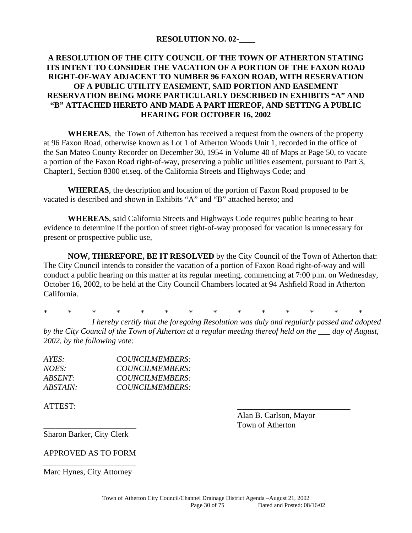#### **RESOLUTION NO. 02-**\_\_\_\_

### **A RESOLUTION OF THE CITY COUNCIL OF THE TOWN OF ATHERTON STATING ITS INTENT TO CONSIDER THE VACATION OF A PORTION OF THE FAXON ROAD RIGHT-OF-WAY ADJACENT TO NUMBER 96 FAXON ROAD, WITH RESERVATION OF A PUBLIC UTILITY EASEMENT, SAID PORTION AND EASEMENT RESERVATION BEING MORE PARTICULARLY DESCRIBED IN EXHIBITS "A" AND "B" ATTACHED HERETO AND MADE A PART HEREOF, AND SETTING A PUBLIC HEARING FOR OCTOBER 16, 2002**

**WHEREAS**, the Town of Atherton has received a request from the owners of the property at 96 Faxon Road, otherwise known as Lot 1 of Atherton Woods Unit 1, recorded in the office of the San Mateo County Recorder on December 30, 1954 in Volume 40 of Maps at Page 50, to vacate a portion of the Faxon Road right-of-way, preserving a public utilities easement, pursuant to Part 3, Chapter1, Section 8300 et.seq. of the California Streets and Highways Code; and

**WHEREAS**, the description and location of the portion of Faxon Road proposed to be vacated is described and shown in Exhibits "A" and "B" attached hereto; and

**WHEREAS**, said California Streets and Highways Code requires public hearing to hear evidence to determine if the portion of street right-of-way proposed for vacation is unnecessary for present or prospective public use,

**NOW, THEREFORE, BE IT RESOLVED** by the City Council of the Town of Atherton that: The City Council intends to consider the vacation of a portion of Faxon Road right-of-way and will conduct a public hearing on this matter at its regular meeting, commencing at 7:00 p.m. on Wednesday, October 16, 2002, to be held at the City Council Chambers located at 94 Ashfield Road in Atherton California.

\* \* \* \* \* \* \* \* \* \* \* \* \* \*

*I hereby certify that the foregoing Resolution was duly and regularly passed and adopted by the City Council of the Town of Atherton at a regular meeting thereof held on the \_\_\_ day of August, 2002, by the following vote:* 

| AYES:    | COUNCILMEMBERS: |
|----------|-----------------|
| NOES:    | COUNCILMEMBERS: |
| ABSENT:  | COUNCILMEMBERS: |
| ABSTAIN: | COUNCILMEMBERS: |

ATTEST: \_\_\_\_\_\_\_\_\_\_\_\_\_\_\_\_\_\_\_\_\_\_\_\_\_\_\_\_

 Alan B. Carlson, Mayor \_\_\_\_\_\_\_\_\_\_\_\_\_\_\_\_\_\_\_\_\_\_\_ Town of Atherton

Sharon Barker, City Clerk

APPROVED AS TO FORM \_\_\_\_\_\_\_\_\_\_\_\_\_\_\_\_\_\_\_\_\_\_\_

Marc Hynes, City Attorney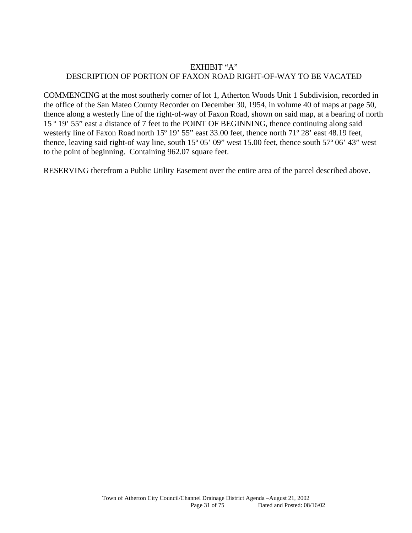#### EXHIBIT "A" DESCRIPTION OF PORTION OF FAXON ROAD RIGHT-OF-WAY TO BE VACATED

COMMENCING at the most southerly corner of lot 1, Atherton Woods Unit 1 Subdivision, recorded in the office of the San Mateo County Recorder on December 30, 1954, in volume 40 of maps at page 50, thence along a westerly line of the right-of-way of Faxon Road, shown on said map, at a bearing of north 15 º 19' 55" east a distance of 7 feet to the POINT OF BEGINNING, thence continuing along said westerly line of Faxon Road north 15<sup>°</sup> 19' 55" east 33.00 feet, thence north 71<sup>°</sup> 28' east 48.19 feet, thence, leaving said right-of way line, south 15º 05' 09" west 15.00 feet, thence south 57º 06' 43" west to the point of beginning. Containing 962.07 square feet.

RESERVING therefrom a Public Utility Easement over the entire area of the parcel described above.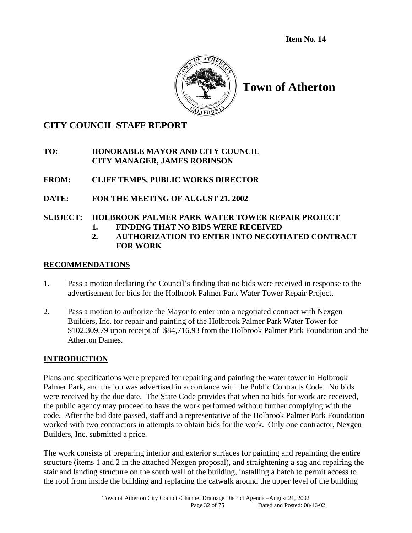**Item No. 14** 



# **Town of Atherton**

# **CITY COUNCIL STAFF REPORT**

**TO: HONORABLE MAYOR AND CITY COUNCIL CITY MANAGER, JAMES ROBINSON** 

- **FROM: CLIFF TEMPS, PUBLIC WORKS DIRECTOR**
- **DATE: FOR THE MEETING OF AUGUST 21. 2002**

## **SUBJECT: HOLBROOK PALMER PARK WATER TOWER REPAIR PROJECT**

- **1. FINDING THAT NO BIDS WERE RECEIVED**
- **2. AUTHORIZATION TO ENTER INTO NEGOTIATED CONTRACT FOR WORK**

## **RECOMMENDATIONS**

- 1. Pass a motion declaring the Council's finding that no bids were received in response to the advertisement for bids for the Holbrook Palmer Park Water Tower Repair Project.
- 2. Pass a motion to authorize the Mayor to enter into a negotiated contract with Nexgen Builders, Inc. for repair and painting of the Holbrook Palmer Park Water Tower for \$102,309.79 upon receipt of \$84,716.93 from the Holbrook Palmer Park Foundation and the Atherton Dames.

## **INTRODUCTION**

Plans and specifications were prepared for repairing and painting the water tower in Holbrook Palmer Park, and the job was advertised in accordance with the Public Contracts Code. No bids were received by the due date. The State Code provides that when no bids for work are received, the public agency may proceed to have the work performed without further complying with the code. After the bid date passed, staff and a representative of the Holbrook Palmer Park Foundation worked with two contractors in attempts to obtain bids for the work. Only one contractor, Nexgen Builders, Inc. submitted a price.

The work consists of preparing interior and exterior surfaces for painting and repainting the entire structure (items 1 and 2 in the attached Nexgen proposal), and straightening a sag and repairing the stair and landing structure on the south wall of the building, installing a hatch to permit access to the roof from inside the building and replacing the catwalk around the upper level of the building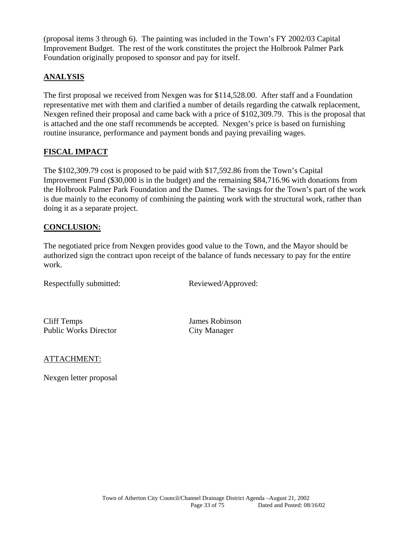(proposal items 3 through 6). The painting was included in the Town's FY 2002/03 Capital Improvement Budget. The rest of the work constitutes the project the Holbrook Palmer Park Foundation originally proposed to sponsor and pay for itself.

## **ANALYSIS**

The first proposal we received from Nexgen was for \$114,528.00. After staff and a Foundation representative met with them and clarified a number of details regarding the catwalk replacement, Nexgen refined their proposal and came back with a price of \$102,309.79. This is the proposal that is attached and the one staff recommends be accepted. Nexgen's price is based on furnishing routine insurance, performance and payment bonds and paying prevailing wages.

## **FISCAL IMPACT**

The \$102,309.79 cost is proposed to be paid with \$17,592.86 from the Town's Capital Improvement Fund (\$30,000 is in the budget) and the remaining \$84,716.96 with donations from the Holbrook Palmer Park Foundation and the Dames. The savings for the Town's part of the work is due mainly to the economy of combining the painting work with the structural work, rather than doing it as a separate project.

#### **CONCLUSION:**

The negotiated price from Nexgen provides good value to the Town, and the Mayor should be authorized sign the contract upon receipt of the balance of funds necessary to pay for the entire work.

Respectfully submitted: Reviewed/Approved:

Cliff Temps James Robinson Public Works Director City Manager

#### ATTACHMENT:

Nexgen letter proposal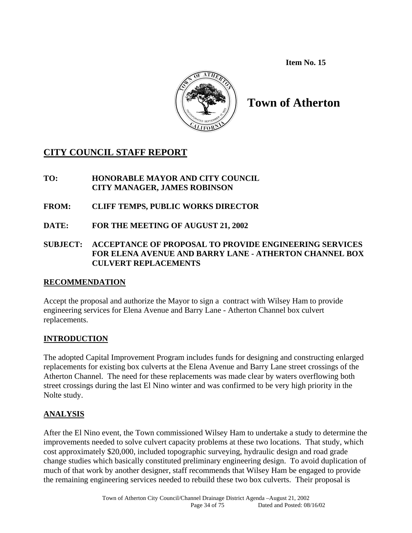**Item No. 15** 



# **Town of Atherton**

# **CITY COUNCIL STAFF REPORT**

- **TO: HONORABLE MAYOR AND CITY COUNCIL CITY MANAGER, JAMES ROBINSON**
- **FROM: CLIFF TEMPS, PUBLIC WORKS DIRECTOR**
- **DATE: FOR THE MEETING OF AUGUST 21, 2002**
- **SUBJECT: ACCEPTANCE OF PROPOSAL TO PROVIDE ENGINEERING SERVICES FOR ELENA AVENUE AND BARRY LANE - ATHERTON CHANNEL BOX CULVERT REPLACEMENTS**

## **RECOMMENDATION**

Accept the proposal and authorize the Mayor to sign a contract with Wilsey Ham to provide engineering services for Elena Avenue and Barry Lane - Atherton Channel box culvert replacements.

## **INTRODUCTION**

The adopted Capital Improvement Program includes funds for designing and constructing enlarged replacements for existing box culverts at the Elena Avenue and Barry Lane street crossings of the Atherton Channel. The need for these replacements was made clear by waters overflowing both street crossings during the last El Nino winter and was confirmed to be very high priority in the Nolte study.

## **ANALYSIS**

After the El Nino event, the Town commissioned Wilsey Ham to undertake a study to determine the improvements needed to solve culvert capacity problems at these two locations. That study, which cost approximately \$20,000, included topographic surveying, hydraulic design and road grade change studies which basically constituted preliminary engineering design. To avoid duplication of much of that work by another designer, staff recommends that Wilsey Ham be engaged to provide the remaining engineering services needed to rebuild these two box culverts. Their proposal is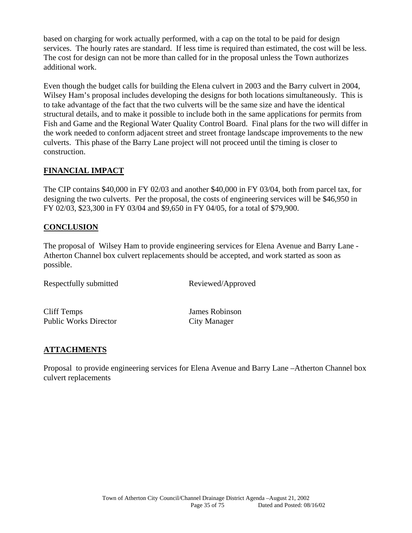based on charging for work actually performed, with a cap on the total to be paid for design services. The hourly rates are standard. If less time is required than estimated, the cost will be less. The cost for design can not be more than called for in the proposal unless the Town authorizes additional work.

Even though the budget calls for building the Elena culvert in 2003 and the Barry culvert in 2004, Wilsey Ham's proposal includes developing the designs for both locations simultaneously. This is to take advantage of the fact that the two culverts will be the same size and have the identical structural details, and to make it possible to include both in the same applications for permits from Fish and Game and the Regional Water Quality Control Board. Final plans for the two will differ in the work needed to conform adjacent street and street frontage landscape improvements to the new culverts. This phase of the Barry Lane project will not proceed until the timing is closer to construction.

#### **FINANCIAL IMPACT**

The CIP contains \$40,000 in FY 02/03 and another \$40,000 in FY 03/04, both from parcel tax, for designing the two culverts. Per the proposal, the costs of engineering services will be \$46,950 in FY 02/03, \$23,300 in FY 03/04 and \$9,650 in FY 04/05, for a total of \$79,900.

#### **CONCLUSION**

The proposal of Wilsey Ham to provide engineering services for Elena Avenue and Barry Lane - Atherton Channel box culvert replacements should be accepted, and work started as soon as possible.

Respectfully submitted Reviewed/Approved

Cliff Temps James Robinson Public Works Director City Manager

## **ATTACHMENTS**

Proposal to provide engineering services for Elena Avenue and Barry Lane –Atherton Channel box culvert replacements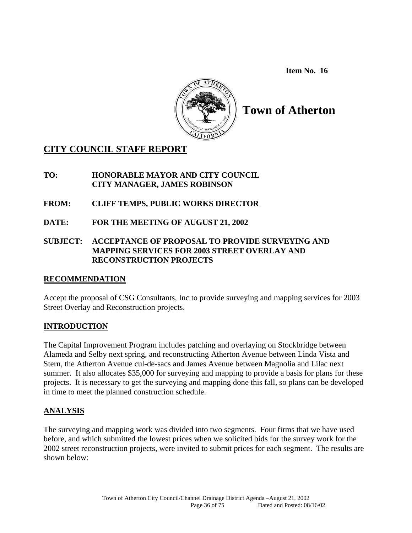**Item No. 16** 



# **Town of Atherton**

# **CITY COUNCIL STAFF REPORT**

## **TO: HONORABLE MAYOR AND CITY COUNCIL CITY MANAGER, JAMES ROBINSON**

- **FROM: CLIFF TEMPS, PUBLIC WORKS DIRECTOR**
- **DATE: FOR THE MEETING OF AUGUST 21, 2002**

## **SUBJECT: ACCEPTANCE OF PROPOSAL TO PROVIDE SURVEYING AND MAPPING SERVICES FOR 2003 STREET OVERLAY AND RECONSTRUCTION PROJECTS**

## **RECOMMENDATION**

Accept the proposal of CSG Consultants, Inc to provide surveying and mapping services for 2003 Street Overlay and Reconstruction projects.

## **INTRODUCTION**

The Capital Improvement Program includes patching and overlaying on Stockbridge between Alameda and Selby next spring, and reconstructing Atherton Avenue between Linda Vista and Stern, the Atherton Avenue cul-de-sacs and James Avenue between Magnolia and Lilac next summer. It also allocates \$35,000 for surveying and mapping to provide a basis for plans for these projects. It is necessary to get the surveying and mapping done this fall, so plans can be developed in time to meet the planned construction schedule.

## **ANALYSIS**

The surveying and mapping work was divided into two segments. Four firms that we have used before, and which submitted the lowest prices when we solicited bids for the survey work for the 2002 street reconstruction projects, were invited to submit prices for each segment. The results are shown below: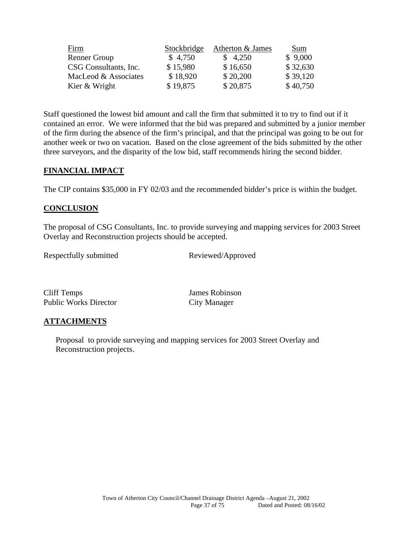| <u>Firm</u>           | Stockbridge | Atherton & James | Sum      |
|-----------------------|-------------|------------------|----------|
| <b>Renner Group</b>   | \$4,750     | \$4,250          | \$9,000  |
| CSG Consultants, Inc. | \$15,980    | \$16,650         | \$32,630 |
| MacLeod & Associates  | \$18,920    | \$20,200         | \$39,120 |
| Kier & Wright         | \$19,875    | \$20,875         | \$40,750 |

Staff questioned the lowest bid amount and call the firm that submitted it to try to find out if it contained an error. We were informed that the bid was prepared and submitted by a junior member of the firm during the absence of the firm's principal, and that the principal was going to be out for another week or two on vacation. Based on the close agreement of the bids submitted by the other three surveyors, and the disparity of the low bid, staff recommends hiring the second bidder.

#### **FINANCIAL IMPACT**

The CIP contains \$35,000 in FY 02/03 and the recommended bidder's price is within the budget.

#### **CONCLUSION**

The proposal of CSG Consultants, Inc. to provide surveying and mapping services for 2003 Street Overlay and Reconstruction projects should be accepted.

Respectfully submitted Reviewed/Approved

Cliff Temps James Robinson Public Works Director City Manager

## **ATTACHMENTS**

 Proposal to provide surveying and mapping services for 2003 Street Overlay and Reconstruction projects.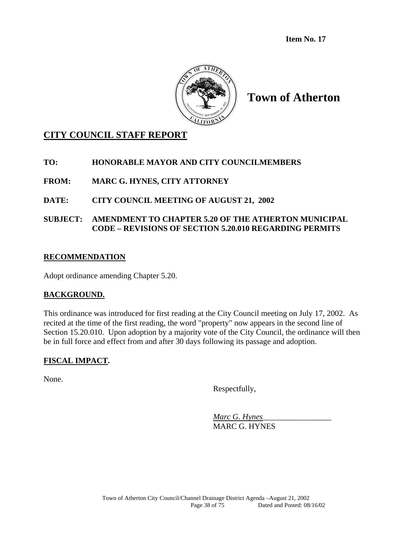**Item No. 17** 



**Town of Atherton** 

# **CITY COUNCIL STAFF REPORT**

## **TO: HONORABLE MAYOR AND CITY COUNCILMEMBERS**

**FROM: MARC G. HYNES, CITY ATTORNEY** 

## **DATE: CITY COUNCIL MEETING OF AUGUST 21, 2002**

**SUBJECT: AMENDMENT TO CHAPTER 5.20 OF THE ATHERTON MUNICIPAL CODE – REVISIONS OF SECTION 5.20.010 REGARDING PERMITS** 

# **RECOMMENDATION**

Adopt ordinance amending Chapter 5.20.

## **BACKGROUND.**

This ordinance was introduced for first reading at the City Council meeting on July 17, 2002. As recited at the time of the first reading, the word "property" now appears in the second line of Section 15.20.010. Upon adoption by a majority vote of the City Council, the ordinance will then be in full force and effect from and after 30 days following its passage and adoption.

## **FISCAL IMPACT.**

None.

Respectfully,

 *Marc G. Hynes*\_\_\_\_\_\_\_\_\_\_\_\_\_\_\_\_\_ MARC G. HYNES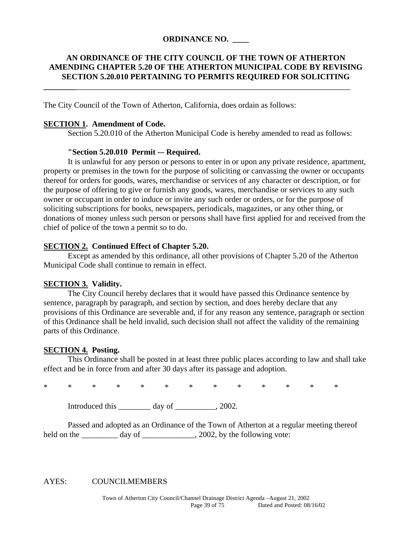#### **ORDINANCE NO. \_\_\_\_**

#### **AN ORDINANCE OF THE CITY COUNCIL OF THE TOWN OF ATHERTON AMENDING CHAPTER 5.20 OF THE ATHERTON MUNICIPAL CODE BY REVISING SECTION 5.20.010 PERTAINING TO PERMITS REQUIRED FOR SOLICITING**

**\_\_\_\_\_\_\_\_**\_\_\_\_\_\_\_\_\_\_\_\_\_\_\_\_\_\_\_\_\_\_\_\_\_\_\_\_\_\_\_\_\_\_\_\_\_\_\_\_\_\_\_\_\_\_\_\_\_\_\_\_\_\_\_\_\_\_\_\_\_\_\_\_\_\_\_\_

The City Council of the Town of Atherton, California, does ordain as follows:

#### **SECTION 1. Amendment of Code.**

Section 5.20.010 of the Atherton Municipal Code is hereby amended to read as follows:

#### **"Section 5.20.010 Permit -– Required.**

It is unlawful for any person or persons to enter in or upon any private residence, apartment, property or premises in the town for the purpose of soliciting or canvassing the owner or occupants thereof for orders for goods, wares, merchandise or services of any character or description, or for the purpose of offering to give or furnish any goods, wares, merchandise or services to any such owner or occupant in order to induce or invite any such order or orders, or for the purpose of soliciting subscriptions for books, newspapers, periodicals, magazines, or any other thing, or donations of money unless such person or persons shall have first applied for and received from the chief of police of the town a permit so to do.

#### **SECTION 2. Continued Effect of Chapter 5.20.**

Except as amended by this ordinance, all other provisions of Chapter 5.20 of the Atherton Municipal Code shall continue to remain in effect.

#### **SECTION 3. Validity.**

The City Council hereby declares that it would have passed this Ordinance sentence by sentence, paragraph by paragraph, and section by section, and does hereby declare that any provisions of this Ordinance are severable and, if for any reason any sentence, paragraph or section of this Ordinance shall be held invalid, such decision shall not affect the validity of the remaining parts of this Ordinance.

#### **SECTION 4. Posting.**

This Ordinance shall be posted in at least three public places according to law and shall take effect and be in force from and after 30 days after its passage and adoption.

\* \* \* \* \* \* \* \* \* \* \* \* \*

Introduced this day of  $\qquad \qquad$ , 2002.

 Passed and adopted as an Ordinance of the Town of Atherton at a regular meeting thereof held on the \_\_\_\_\_\_\_\_\_\_ day of \_\_\_\_\_\_\_\_\_\_\_\_, 2002, by the following vote:

#### AYES: COUNCILMEMBERS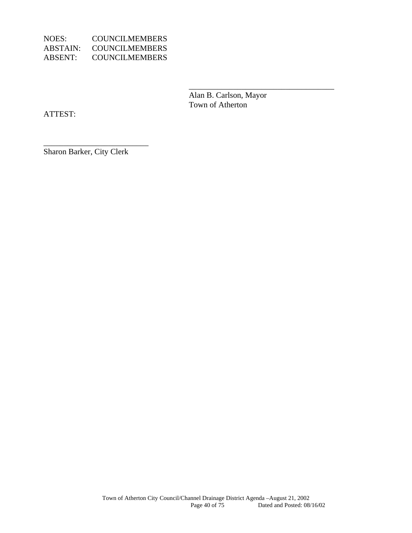| NOES:    | <b>COUNCILMEMBERS</b> |
|----------|-----------------------|
| ABSTAIN: | <b>COUNCILMEMBERS</b> |
| ABSENT:  | <b>COUNCILMEMBERS</b> |

 Alan B. Carlson, Mayor Town of Atherton

 $\overline{\phantom{a}}$  , which is a set of the contract of the contract of the contract of the contract of the contract of the contract of the contract of the contract of the contract of the contract of the contract of the contract

ATTEST:

Sharon Barker, City Clerk

\_\_\_\_\_\_\_\_\_\_\_\_\_\_\_\_\_\_\_\_\_\_\_\_\_\_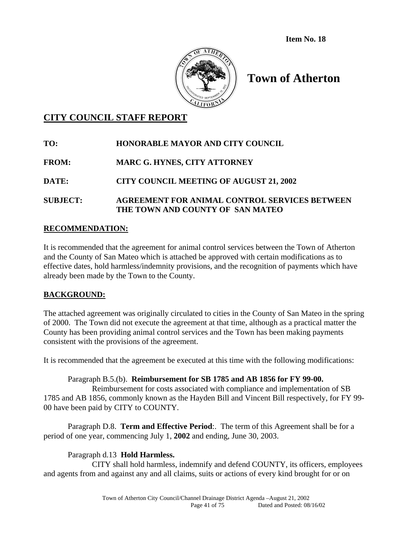**Item No. 18** 



# **Town of Atherton**

# **CITY COUNCIL STAFF REPORT**

# **TO: HONORABLE MAYOR AND CITY COUNCIL FROM: MARC G. HYNES, CITY ATTORNEY DATE: CITY COUNCIL MEETING OF AUGUST 21, 2002 SUBJECT: AGREEMENT FOR ANIMAL CONTROL SERVICES BETWEEN THE TOWN AND COUNTY OF SAN MATEO**

## **RECOMMENDATION:**

It is recommended that the agreement for animal control services between the Town of Atherton and the County of San Mateo which is attached be approved with certain modifications as to effective dates, hold harmless/indemnity provisions, and the recognition of payments which have already been made by the Town to the County.

## **BACKGROUND:**

The attached agreement was originally circulated to cities in the County of San Mateo in the spring of 2000. The Town did not execute the agreement at that time, although as a practical matter the County has been providing animal control services and the Town has been making payments consistent with the provisions of the agreement.

It is recommended that the agreement be executed at this time with the following modifications:

## Paragraph B.5.(b). **Reimbursement for SB 1785 and AB 1856 for FY 99-00.**

 Reimbursement for costs associated with compliance and implementation of SB 1785 and AB 1856, commonly known as the Hayden Bill and Vincent Bill respectively, for FY 99- 00 have been paid by CITY to COUNTY.

 Paragraph D.8. **Term and Effective Period**:. The term of this Agreement shall be for a period of one year, commencing July 1, **2002** and ending, June 30, 2003.

## Paragraph d.13 **Hold Harmless.**

 CITY shall hold harmless, indemnify and defend COUNTY, its officers, employees and agents from and against any and all claims, suits or actions of every kind brought for or on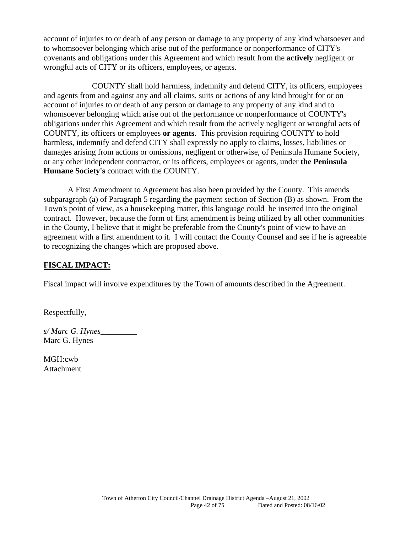account of injuries to or death of any person or damage to any property of any kind whatsoever and to whomsoever belonging which arise out of the performance or nonperformance of CITY's covenants and obligations under this Agreement and which result from the **actively** negligent or wrongful acts of CITY or its officers, employees, or agents.

 COUNTY shall hold harmless, indemnify and defend CITY, its officers, employees and agents from and against any and all claims, suits or actions of any kind brought for or on account of injuries to or death of any person or damage to any property of any kind and to whomsoever belonging which arise out of the performance or nonperformance of COUNTY's obligations under this Agreement and which result from the actively negligent or wrongful acts of COUNTY, its officers or employees **or agents**. This provision requiring COUNTY to hold harmless, indemnify and defend CITY shall expressly no apply to claims, losses, liabilities or damages arising from actions or omissions, negligent or otherwise, of Peninsula Humane Society, or any other independent contractor, or its officers, employees or agents, under **the Peninsula Humane Society's** contract with the COUNTY.

 A First Amendment to Agreement has also been provided by the County. This amends subparagraph (a) of Paragraph 5 regarding the payment section of Section (B) as shown. From the Town's point of view, as a housekeeping matter, this language could be inserted into the original contract. However, because the form of first amendment is being utilized by all other communities in the County, I believe that it might be preferable from the County's point of view to have an agreement with a first amendment to it. I will contact the County Counsel and see if he is agreeable to recognizing the changes which are proposed above.

#### **FISCAL IMPACT:**

Fiscal impact will involve expenditures by the Town of amounts described in the Agreement.

Respectfully,

*s/ Marc G. Hynes*\_\_\_\_\_\_\_\_\_ Marc G. Hynes

MGH:cwb Attachment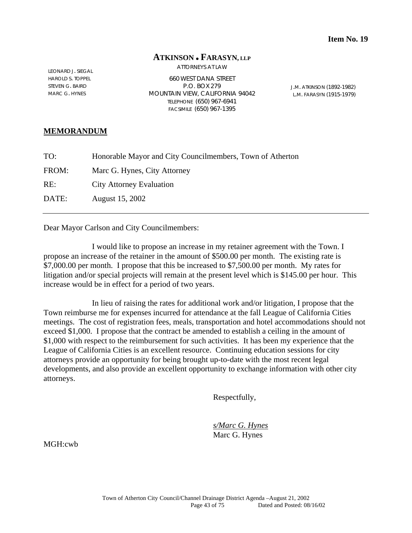#### **ATKINSON FARASYN, LLP**

ATTORNEYS AT LAW

LEONARD J. SIEGAL HAROLD S. TOPPEL STEVEN G. BAIRD MARC G. HYNES

660 WEST DANA STREET P.O. BOX 279 MOUNTAIN VIEW, CALIFORNIA 94042 TELEPHONE (650) 967-6941 FACSIMILE (650) 967-1395

J.M. ATKINSON (1892-1982) L.M. FARASYN (1915-1979)

#### **MEMORANDUM**

| TO:   | Honorable Mayor and City Councilmembers, Town of Atherton |
|-------|-----------------------------------------------------------|
| FROM: | Marc G. Hynes, City Attorney                              |
| RE:   | <b>City Attorney Evaluation</b>                           |
| DATE: | August 15, 2002                                           |
|       |                                                           |

Dear Mayor Carlson and City Councilmembers:

 I would like to propose an increase in my retainer agreement with the Town. I propose an increase of the retainer in the amount of \$500.00 per month. The existing rate is \$7,000.00 per month. I propose that this be increased to \$7,500.00 per month. My rates for litigation and/or special projects will remain at the present level which is \$145.00 per hour. This increase would be in effect for a period of two years.

 In lieu of raising the rates for additional work and/or litigation, I propose that the Town reimburse me for expenses incurred for attendance at the fall League of California Cities meetings. The cost of registration fees, meals, transportation and hotel accommodations should not exceed \$1,000. I propose that the contract be amended to establish a ceiling in the amount of \$1,000 with respect to the reimbursement for such activities. It has been my experience that the League of California Cities is an excellent resource. Continuing education sessions for city attorneys provide an opportunity for being brought up-to-date with the most recent legal developments, and also provide an excellent opportunity to exchange information with other city attorneys.

Respectfully,

 *s/Marc G. Hynes* Marc G. Hynes

MGH:cwb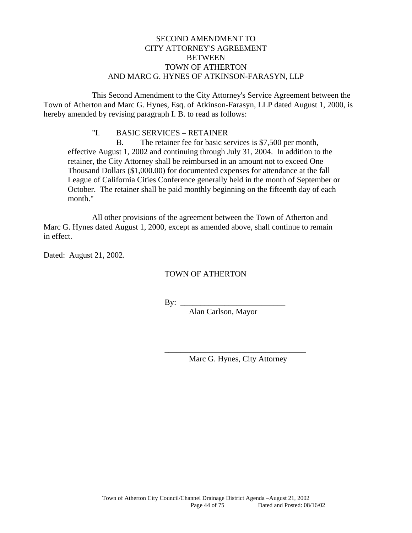## SECOND AMENDMENT TO CITY ATTORNEY'S AGREEMENT BETWEEN TOWN OF ATHERTON AND MARC G. HYNES OF ATKINSON-FARASYN, LLP

 This Second Amendment to the City Attorney's Service Agreement between the Town of Atherton and Marc G. Hynes, Esq. of Atkinson-Farasyn, LLP dated August 1, 2000, is hereby amended by revising paragraph I. B. to read as follows:

#### "I. BASIC SERVICES – RETAINER

 B. The retainer fee for basic services is \$7,500 per month, effective August 1, 2002 and continuing through July 31, 2004. In addition to the retainer, the City Attorney shall be reimbursed in an amount not to exceed One Thousand Dollars (\$1,000.00) for documented expenses for attendance at the fall League of California Cities Conference generally held in the month of September or October. The retainer shall be paid monthly beginning on the fifteenth day of each month."

 All other provisions of the agreement between the Town of Atherton and Marc G. Hynes dated August 1, 2000, except as amended above, shall continue to remain in effect.

Dated: August 21, 2002.

#### TOWN OF ATHERTON

By: \_\_\_\_\_\_\_\_\_\_\_\_\_\_\_\_\_\_\_\_\_\_\_\_\_\_

 $\overline{\phantom{a}}$  ,  $\overline{\phantom{a}}$  ,  $\overline{\phantom{a}}$  ,  $\overline{\phantom{a}}$  ,  $\overline{\phantom{a}}$  ,  $\overline{\phantom{a}}$  ,  $\overline{\phantom{a}}$  ,  $\overline{\phantom{a}}$  ,  $\overline{\phantom{a}}$  ,  $\overline{\phantom{a}}$  ,  $\overline{\phantom{a}}$  ,  $\overline{\phantom{a}}$  ,  $\overline{\phantom{a}}$  ,  $\overline{\phantom{a}}$  ,  $\overline{\phantom{a}}$  ,  $\overline{\phantom{a}}$ 

Alan Carlson, Mayor

Marc G. Hynes, City Attorney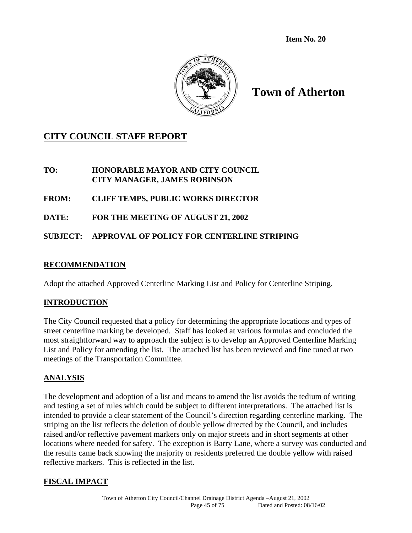**Item No. 20** 



**Town of Atherton** 

# **CITY COUNCIL STAFF REPORT**

## **TO: HONORABLE MAYOR AND CITY COUNCIL CITY MANAGER, JAMES ROBINSON**

# **FROM: CLIFF TEMPS, PUBLIC WORKS DIRECTOR**

**DATE: FOR THE MEETING OF AUGUST 21, 2002**

# **SUBJECT: APPROVAL OF POLICY FOR CENTERLINE STRIPING**

## **RECOMMENDATION**

Adopt the attached Approved Centerline Marking List and Policy for Centerline Striping.

## **INTRODUCTION**

The City Council requested that a policy for determining the appropriate locations and types of street centerline marking be developed. Staff has looked at various formulas and concluded the most straightforward way to approach the subject is to develop an Approved Centerline Marking List and Policy for amending the list. The attached list has been reviewed and fine tuned at two meetings of the Transportation Committee.

## **ANALYSIS**

The development and adoption of a list and means to amend the list avoids the tedium of writing and testing a set of rules which could be subject to different interpretations. The attached list is intended to provide a clear statement of the Council's direction regarding centerline marking. The striping on the list reflects the deletion of double yellow directed by the Council, and includes raised and/or reflective pavement markers only on major streets and in short segments at other locations where needed for safety. The exception is Barry Lane, where a survey was conducted and the results came back showing the majority or residents preferred the double yellow with raised reflective markers. This is reflected in the list.

## **FISCAL IMPACT**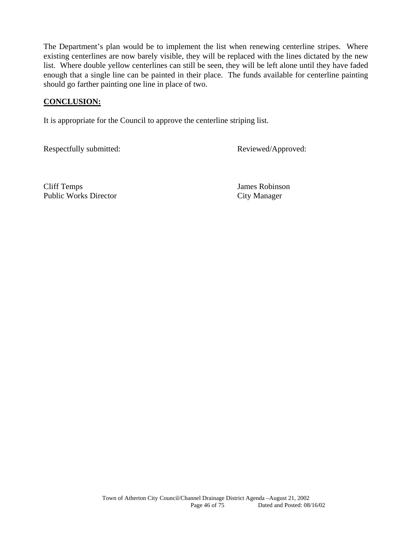The Department's plan would be to implement the list when renewing centerline stripes. Where existing centerlines are now barely visible, they will be replaced with the lines dictated by the new list. Where double yellow centerlines can still be seen, they will be left alone until they have faded enough that a single line can be painted in their place. The funds available for centerline painting should go farther painting one line in place of two.

#### **CONCLUSION:**

It is appropriate for the Council to approve the centerline striping list.

Respectfully submitted: Reviewed/Approved:

Cliff Temps James Robinson Public Works Director City Manager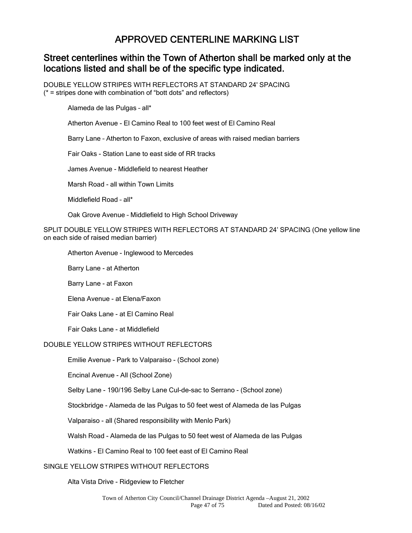# APPROVED CENTERLINE MARKING LIST

# Street centerlines within the Town of Atherton shall be marked only at the locations listed and shall be of the specific type indicated.

DOUBLE YELLOW STRIPES WITH REFLECTORS AT STANDARD 24' SPACING  $(* =$  stripes done with combination of "bott dots" and reflectors)

Alameda de las Pulgas – all\*

Atherton Avenue - El Camino Real to 100 feet west of El Camino Real

Barry Lane – Atherton to Faxon, exclusive of areas with raised median barriers

Fair Oaks - Station Lane to east side of RR tracks

James Avenue - Middlefield to nearest Heather

Marsh Road - all within Town Limits

Middlefield Road – all\*

Oak Grove Avenue – Middlefield to High School Driveway

SPLIT DOUBLE YELLOW STRIPES WITH REFLECTORS AT STANDARD 24' SPACING (One yellow line on each side of raised median barrier)

Atherton Avenue - Inglewood to Mercedes

Barry Lane - at Atherton

Barry Lane - at Faxon

Elena Avenue - at Elena/Faxon

Fair Oaks Lane - at El Camino Real

Fair Oaks Lane - at Middlefield

#### DOUBLE YELLOW STRIPES WITHOUT REFLECTORS

Emilie Avenue - Park to Valparaiso - (School zone)

Encinal Avenue - All (School Zone)

Selby Lane - 190/196 Selby Lane Cul-de-sac to Serrano - (School zone)

Stockbridge - Alameda de las Pulgas to 50 feet west of Alameda de las Pulgas

Valparaiso - all (Shared responsibility with Menlo Park)

Walsh Road - Alameda de las Pulgas to 50 feet west of Alameda de las Pulgas

Watkins - El Camino Real to 100 feet east of El Camino Real

#### SINGLE YELLOW STRIPES WITHOUT REFLECTORS

Alta Vista Drive - Ridgeview to Fletcher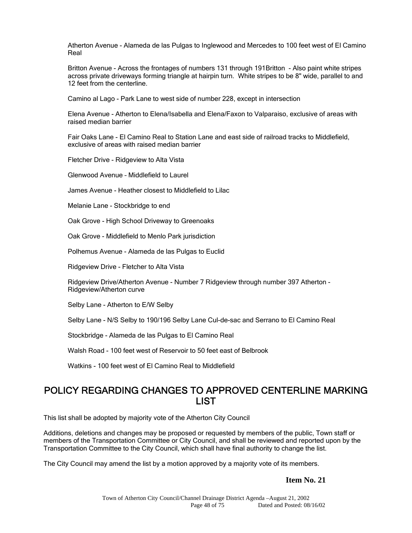Atherton Avenue - Alameda de las Pulgas to Inglewood and Mercedes to 100 feet west of El Camino Real

Britton Avenue - Across the frontages of numbers 131 through 191Britton - Also paint white stripes across private driveways forming triangle at hairpin turn. White stripes to be 8" wide, parallel to and 12 feet from the centerline.

Camino al Lago - Park Lane to west side of number 228, except in intersection

Elena Avenue - Atherton to Elena/Isabella and Elena/Faxon to Valparaiso, exclusive of areas with raised median barrier

Fair Oaks Lane - El Camino Real to Station Lane and east side of railroad tracks to Middlefield, exclusive of areas with raised median barrier

Fletcher Drive - Ridgeview to Alta Vista

Glenwood Avenue – Middlefield to Laurel

James Avenue - Heather closest to Middlefield to Lilac

Melanie Lane - Stockbridge to end

Oak Grove - High School Driveway to Greenoaks

Oak Grove - Middlefield to Menlo Park jurisdiction

Polhemus Avenue - Alameda de las Pulgas to Euclid

Ridgeview Drive - Fletcher to Alta Vista

Ridgeview Drive/Atherton Avenue - Number 7 Ridgeview through number 397 Atherton - Ridgeview/Atherton curve

Selby Lane - Atherton to E/W Selby

Selby Lane - N/S Selby to 190/196 Selby Lane Cul-de-sac and Serrano to El Camino Real

Stockbridge - Alameda de las Pulgas to El Camino Real

Walsh Road - 100 feet west of Reservoir to 50 feet east of Belbrook

Watkins - 100 feet west of El Camino Real to Middlefield

# POLICY REGARDING CHANGES TO APPROVED CENTERLINE MARKING **LIST**

This list shall be adopted by majority vote of the Atherton City Council

Additions, deletions and changes may be proposed or requested by members of the public, Town staff or members of the Transportation Committee or City Council, and shall be reviewed and reported upon by the Transportation Committee to the City Council, which shall have final authority to change the list.

The City Council may amend the list by a motion approved by a majority vote of its members.

#### **Item No. 21**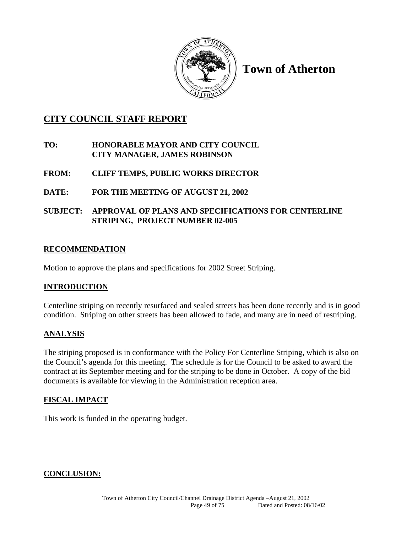

**Town of Atherton** 

# **CITY COUNCIL STAFF REPORT**

## **TO: HONORABLE MAYOR AND CITY COUNCIL CITY MANAGER, JAMES ROBINSON**

- **FROM: CLIFF TEMPS, PUBLIC WORKS DIRECTOR**
- **DATE: FOR THE MEETING OF AUGUST 21, 2002**

## **SUBJECT: APPROVAL OF PLANS AND SPECIFICATIONS FOR CENTERLINE STRIPING, PROJECT NUMBER 02-005**

# **RECOMMENDATION**

Motion to approve the plans and specifications for 2002 Street Striping.

## **INTRODUCTION**

Centerline striping on recently resurfaced and sealed streets has been done recently and is in good condition. Striping on other streets has been allowed to fade, and many are in need of restriping.

# **ANALYSIS**

The striping proposed is in conformance with the Policy For Centerline Striping, which is also on the Council's agenda for this meeting. The schedule is for the Council to be asked to award the contract at its September meeting and for the striping to be done in October. A copy of the bid documents is available for viewing in the Administration reception area.

# **FISCAL IMPACT**

This work is funded in the operating budget.

## **CONCLUSION:**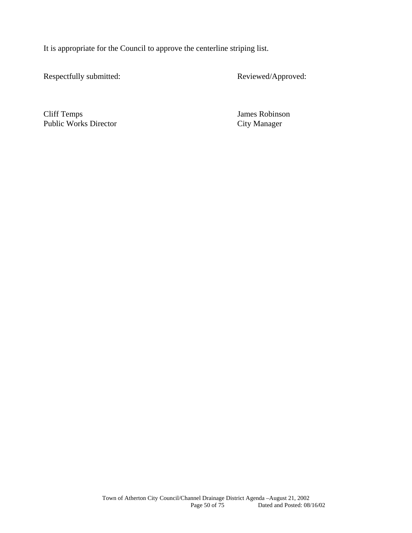It is appropriate for the Council to approve the centerline striping list.

Respectfully submitted: Reviewed/Approved:

Cliff Temps James Robinson Public Works Director City Manager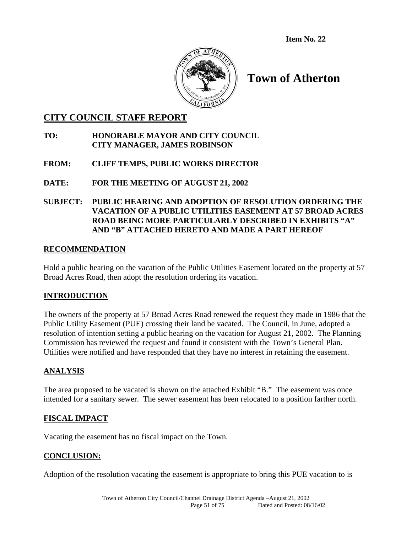**Item No. 22** 



# **Town of Atherton**

# **CITY COUNCIL STAFF REPORT**

## **TO: HONORABLE MAYOR AND CITY COUNCIL CITY MANAGER, JAMES ROBINSON**

## **FROM: CLIFF TEMPS, PUBLIC WORKS DIRECTOR**

## **DATE: FOR THE MEETING OF AUGUST 21, 2002**

## **SUBJECT: PUBLIC HEARING AND ADOPTION OF RESOLUTION ORDERING THE VACATION OF A PUBLIC UTILITIES EASEMENT AT 57 BROAD ACRES ROAD BEING MORE PARTICULARLY DESCRIBED IN EXHIBITS "A" AND "B" ATTACHED HERETO AND MADE A PART HEREOF**

## **RECOMMENDATION**

Hold a public hearing on the vacation of the Public Utilities Easement located on the property at 57 Broad Acres Road, then adopt the resolution ordering its vacation.

## **INTRODUCTION**

The owners of the property at 57 Broad Acres Road renewed the request they made in 1986 that the Public Utility Easement (PUE) crossing their land be vacated. The Council, in June, adopted a resolution of intention setting a public hearing on the vacation for August 21, 2002. The Planning Commission has reviewed the request and found it consistent with the Town's General Plan. Utilities were notified and have responded that they have no interest in retaining the easement.

## **ANALYSIS**

The area proposed to be vacated is shown on the attached Exhibit "B." The easement was once intended for a sanitary sewer. The sewer easement has been relocated to a position farther north.

## **FISCAL IMPACT**

Vacating the easement has no fiscal impact on the Town.

## **CONCLUSION:**

Adoption of the resolution vacating the easement is appropriate to bring this PUE vacation to is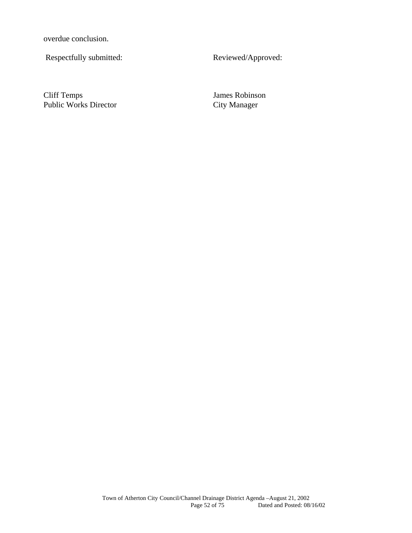overdue conclusion.

Respectfully submitted: Reviewed/Approved:

Cliff Temps<br>
Public Works Director<br>
City Manager<br>
City Manager Public Works Director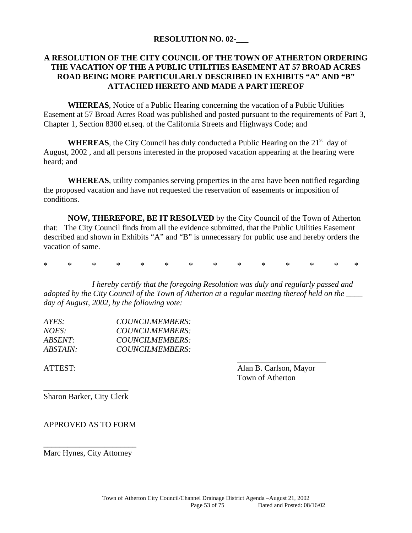#### **RESOLUTION NO. 02-\_\_\_**

## **A RESOLUTION OF THE CITY COUNCIL OF THE TOWN OF ATHERTON ORDERING THE VACATION OF THE A PUBLIC UTILITIES EASEMENT AT 57 BROAD ACRES ROAD BEING MORE PARTICULARLY DESCRIBED IN EXHIBITS "A" AND "B" ATTACHED HERETO AND MADE A PART HEREOF**

**WHEREAS**, Notice of a Public Hearing concerning the vacation of a Public Utilities Easement at 57 Broad Acres Road was published and posted pursuant to the requirements of Part 3, Chapter 1, Section 8300 et.seq. of the California Streets and Highways Code; and

**WHEREAS**, the City Council has duly conducted a Public Hearing on the  $21<sup>st</sup>$  day of August, 2002 , and all persons interested in the proposed vacation appearing at the hearing were heard; and

**WHEREAS**, utility companies serving properties in the area have been notified regarding the proposed vacation and have not requested the reservation of easements or imposition of conditions.

**NOW, THEREFORE, BE IT RESOLVED** by the City Council of the Town of Atherton that: The City Council finds from all the evidence submitted, that the Public Utilities Easement described and shown in Exhibits "A" and "B" is unnecessary for public use and hereby orders the vacation of same.

\* \* \* \* \* \* \* \* \* \* \* \* \* \*

*I hereby certify that the foregoing Resolution was duly and regularly passed and adopted by the City Council of the Town of Atherton at a regular meeting thereof held on the \_\_\_\_ day of August, 2002, by the following vote:* 

| AYES:           | COUNCILMEMBERS: |  |
|-----------------|-----------------|--|
| <i>NOES:</i>    | COUNCILMEMBERS: |  |
| <i>ABSENT:</i>  | COUNCILMEMBERS: |  |
| <i>ABSTAIN:</i> | COUNCILMEMBERS: |  |
|                 |                 |  |

ATTEST: Alan B. Carlson, Mayor Town of Atherton

**\_\_\_\_\_\_\_\_\_\_\_\_\_\_\_\_\_\_\_\_\_**  Sharon Barker, City Clerk

APPROVED AS TO FORM

**\_\_\_\_\_\_\_\_\_\_\_\_\_\_\_\_\_\_\_\_\_\_\_**  Marc Hynes, City Attorney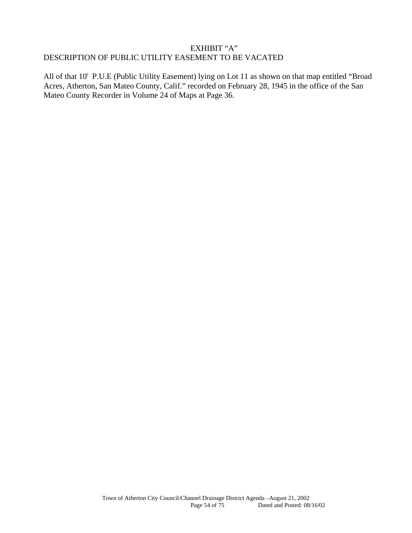#### EXHIBIT "A" DESCRIPTION OF PUBLIC UTILITY EASEMENT TO BE VACATED

All of that 10' P.U.E (Public Utility Easement) lying on Lot 11 as shown on that map entitled "Broad Acres, Atherton, San Mateo County, Calif." recorded on February 28, 1945 in the office of the San Mateo County Recorder in Volume 24 of Maps at Page 36.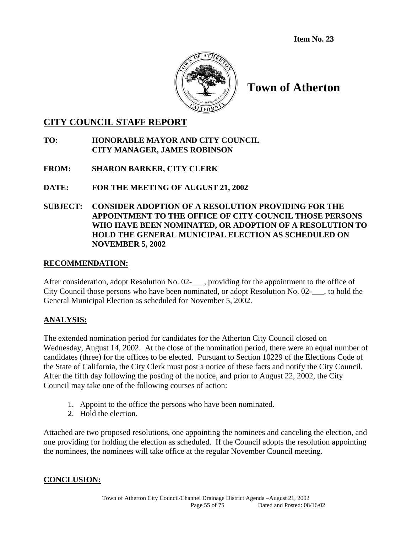**Item No. 23**



# **Town of Atherton**

## **CITY COUNCIL STAFF REPORT**

## **TO: HONORABLE MAYOR AND CITY COUNCIL CITY MANAGER, JAMES ROBINSON**

## **FROM: SHARON BARKER, CITY CLERK**

## **DATE: FOR THE MEETING OF AUGUST 21, 2002**

## **SUBJECT: CONSIDER ADOPTION OF A RESOLUTION PROVIDING FOR THE APPOINTMENT TO THE OFFICE OF CITY COUNCIL THOSE PERSONS WHO HAVE BEEN NOMINATED, OR ADOPTION OF A RESOLUTION TO HOLD THE GENERAL MUNICIPAL ELECTION AS SCHEDULED ON NOVEMBER 5, 2002**

#### **RECOMMENDATION:**

After consideration, adopt Resolution No. 02-\_\_\_, providing for the appointment to the office of City Council those persons who have been nominated, or adopt Resolution No. 02-\_\_\_, to hold the General Municipal Election as scheduled for November 5, 2002.

## **ANALYSIS:**

The extended nomination period for candidates for the Atherton City Council closed on Wednesday, August 14, 2002. At the close of the nomination period, there were an equal number of candidates (three) for the offices to be elected. Pursuant to Section 10229 of the Elections Code of the State of California, the City Clerk must post a notice of these facts and notify the City Council. After the fifth day following the posting of the notice, and prior to August 22, 2002, the City Council may take one of the following courses of action:

- 1. Appoint to the office the persons who have been nominated.
- 2. Hold the election.

Attached are two proposed resolutions, one appointing the nominees and canceling the election, and one providing for holding the election as scheduled. If the Council adopts the resolution appointing the nominees, the nominees will take office at the regular November Council meeting.

## **CONCLUSION:**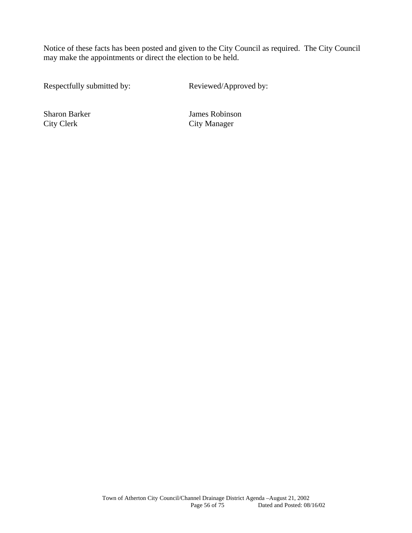Notice of these facts has been posted and given to the City Council as required. The City Council may make the appointments or direct the election to be held.

Respectfully submitted by: Reviewed/Approved by:

City Clerk City Manager

Sharon Barker James Robinson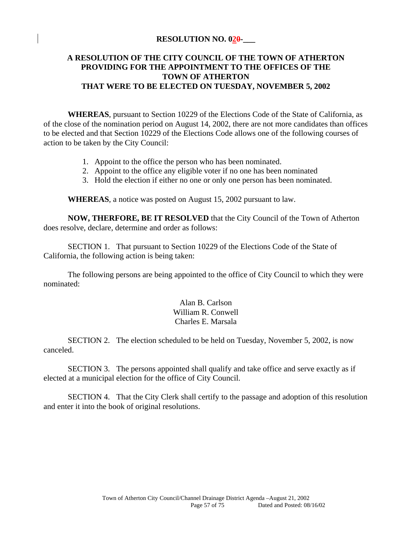#### **RESOLUTION NO. 020-\_\_\_**

## **A RESOLUTION OF THE CITY COUNCIL OF THE TOWN OF ATHERTON PROVIDING FOR THE APPOINTMENT TO THE OFFICES OF THE TOWN OF ATHERTON THAT WERE TO BE ELECTED ON TUESDAY, NOVEMBER 5, 2002**

**WHEREAS**, pursuant to Section 10229 of the Elections Code of the State of California, as of the close of the nomination period on August 14, 2002, there are not more candidates than offices to be elected and that Section 10229 of the Elections Code allows one of the following courses of action to be taken by the City Council:

- 1. Appoint to the office the person who has been nominated.
- 2. Appoint to the office any eligible voter if no one has been nominated
- 3. Hold the election if either no one or only one person has been nominated.

**WHEREAS**, a notice was posted on August 15, 2002 pursuant to law.

**NOW, THERFORE, BE IT RESOLVED** that the City Council of the Town of Atherton does resolve, declare, determine and order as follows:

 SECTION 1. That pursuant to Section 10229 of the Elections Code of the State of California, the following action is being taken:

 The following persons are being appointed to the office of City Council to which they were nominated:

> Alan B. Carlson William R. Conwell Charles E. Marsala

 SECTION 2. The election scheduled to be held on Tuesday, November 5, 2002, is now canceled.

 SECTION 3. The persons appointed shall qualify and take office and serve exactly as if elected at a municipal election for the office of City Council.

 SECTION 4. That the City Clerk shall certify to the passage and adoption of this resolution and enter it into the book of original resolutions.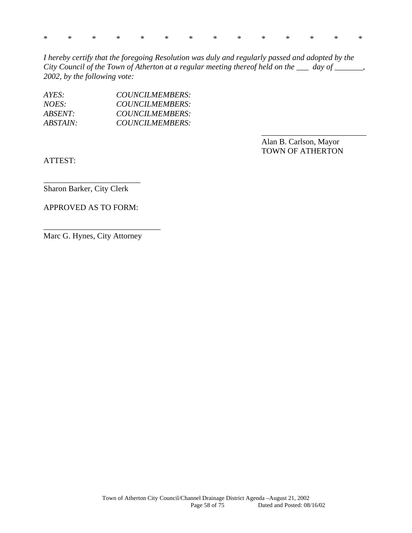|  |  |  |  |  |  | * * * * * * * * * * * * * * |  |
|--|--|--|--|--|--|-----------------------------|--|
|  |  |  |  |  |  |                             |  |

*I hereby certify that the foregoing Resolution was duly and regularly passed and adopted by the City Council of the Town of Atherton at a regular meeting thereof held on the \_\_\_ day of \_\_\_\_\_\_\_, 2002, by the following vote:* 

 $\overline{\phantom{a}}$  , and the contract of the contract of the contract of the contract of the contract of the contract of the contract of the contract of the contract of the contract of the contract of the contract of the contrac

| AYES:    | COUNCILMEMBERS: |
|----------|-----------------|
| NOES:    | COUNCILMEMBERS: |
| ABSENT:  | COUNCILMEMBERS: |
| ABSTAIN: | COUNCILMEMBERS: |

 Alan B. Carlson, Mayor TOWN OF ATHERTON

ATTEST:

Sharon Barker, City Clerk

APPROVED AS TO FORM:

\_\_\_\_\_\_\_\_\_\_\_\_\_\_\_\_\_\_\_\_\_\_\_\_

Marc G. Hynes, City Attorney

\_\_\_\_\_\_\_\_\_\_\_\_\_\_\_\_\_\_\_\_\_\_\_\_\_\_\_\_\_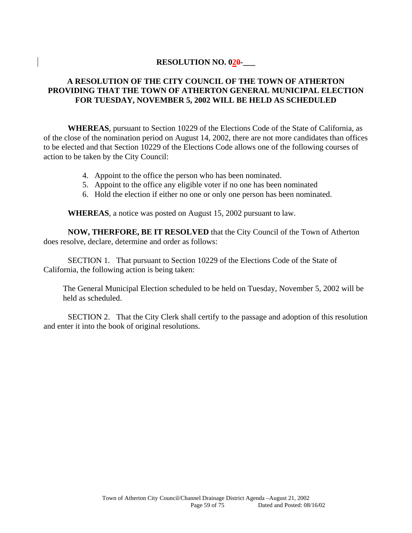#### **RESOLUTION NO. 020-**

## **A RESOLUTION OF THE CITY COUNCIL OF THE TOWN OF ATHERTON PROVIDING THAT THE TOWN OF ATHERTON GENERAL MUNICIPAL ELECTION FOR TUESDAY, NOVEMBER 5, 2002 WILL BE HELD AS SCHEDULED**

**WHEREAS**, pursuant to Section 10229 of the Elections Code of the State of California, as of the close of the nomination period on August 14, 2002, there are not more candidates than offices to be elected and that Section 10229 of the Elections Code allows one of the following courses of action to be taken by the City Council:

- 4. Appoint to the office the person who has been nominated.
- 5. Appoint to the office any eligible voter if no one has been nominated
- 6. Hold the election if either no one or only one person has been nominated.

**WHEREAS**, a notice was posted on August 15, 2002 pursuant to law.

**NOW, THERFORE, BE IT RESOLVED** that the City Council of the Town of Atherton does resolve, declare, determine and order as follows:

 SECTION 1. That pursuant to Section 10229 of the Elections Code of the State of California, the following action is being taken:

The General Municipal Election scheduled to be held on Tuesday, November 5, 2002 will be held as scheduled.

 SECTION 2. That the City Clerk shall certify to the passage and adoption of this resolution and enter it into the book of original resolutions.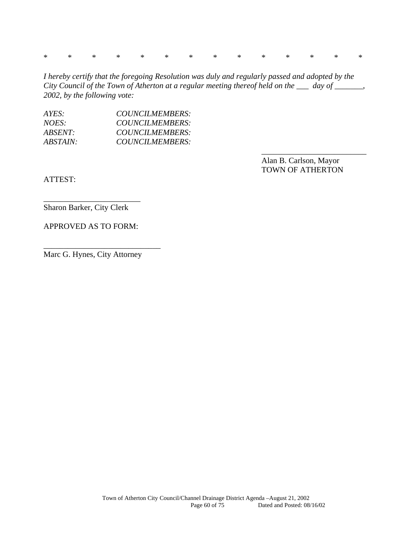\* \* \* \* \* \* \* \* \* \* \* \* \* \*

*I hereby certify that the foregoing Resolution was duly and regularly passed and adopted by the City Council of the Town of Atherton at a regular meeting thereof held on the \_\_\_ day of \_\_\_\_\_\_\_, 2002, by the following vote:* 

 $\overline{\phantom{a}}$  , and the contract of the contract of the contract of the contract of the contract of the contract of the contract of the contract of the contract of the contract of the contract of the contract of the contrac

| AYES:    | COUNCILMEMBERS: |
|----------|-----------------|
| NOES:    | COUNCILMEMBERS: |
| ABSENT:  | COUNCILMEMBERS: |
| ABSTAIN: | COUNCILMEMBERS: |

 Alan B. Carlson, Mayor TOWN OF ATHERTON

ATTEST:

Sharon Barker, City Clerk

\_\_\_\_\_\_\_\_\_\_\_\_\_\_\_\_\_\_\_\_\_\_\_\_

APPROVED AS TO FORM:

Marc G. Hynes, City Attorney

\_\_\_\_\_\_\_\_\_\_\_\_\_\_\_\_\_\_\_\_\_\_\_\_\_\_\_\_\_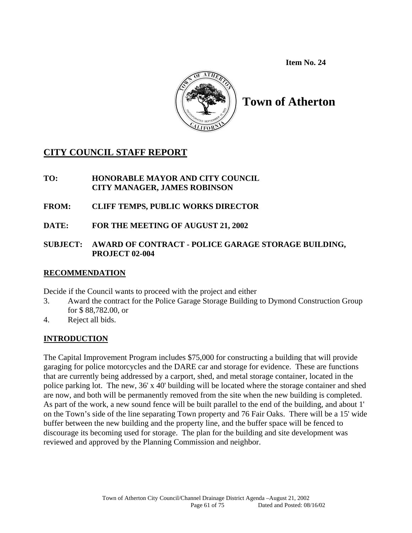**Item No. 24** 



# **Town of Atherton**

# **CITY COUNCIL STAFF REPORT**

## **TO: HONORABLE MAYOR AND CITY COUNCIL CITY MANAGER, JAMES ROBINSON**

# **FROM: CLIFF TEMPS, PUBLIC WORKS DIRECTOR**

**DATE: FOR THE MEETING OF AUGUST 21, 2002** 

## **SUBJECT: AWARD OF CONTRACT - POLICE GARAGE STORAGE BUILDING, PROJECT 02-004**

## **RECOMMENDATION**

Decide if the Council wants to proceed with the project and either

- 3. Award the contract for the Police Garage Storage Building to Dymond Construction Group for \$ 88,782.00, or
- 4. Reject all bids.

# **INTRODUCTION**

The Capital Improvement Program includes \$75,000 for constructing a building that will provide garaging for police motorcycles and the DARE car and storage for evidence. These are functions that are currently being addressed by a carport, shed, and metal storage container, located in the police parking lot. The new, 36' x 40' building will be located where the storage container and shed are now, and both will be permanently removed from the site when the new building is completed. As part of the work, a new sound fence will be built parallel to the end of the building, and about 1' on the Town's side of the line separating Town property and 76 Fair Oaks. There will be a 15' wide buffer between the new building and the property line, and the buffer space will be fenced to discourage its becoming used for storage. The plan for the building and site development was reviewed and approved by the Planning Commission and neighbor.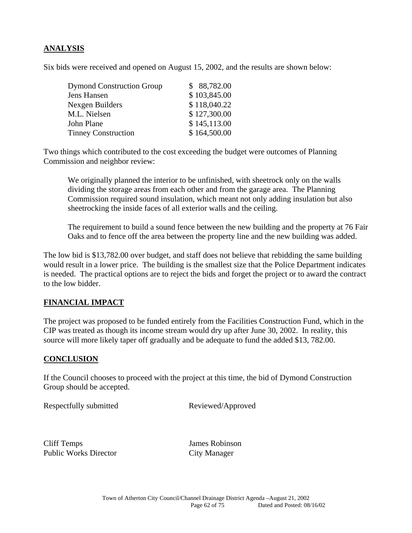## **ANALYSIS**

Six bids were received and opened on August 15, 2002, and the results are shown below:

| <b>Dymond Construction Group</b> | \$88,782.00  |
|----------------------------------|--------------|
| Jens Hansen                      | \$103,845.00 |
| Nexgen Builders                  | \$118,040.22 |
| M.L. Nielsen                     | \$127,300.00 |
| John Plane                       | \$145,113.00 |
| <b>Tinney Construction</b>       | \$164,500.00 |

Two things which contributed to the cost exceeding the budget were outcomes of Planning Commission and neighbor review:

We originally planned the interior to be unfinished, with sheetrock only on the walls dividing the storage areas from each other and from the garage area. The Planning Commission required sound insulation, which meant not only adding insulation but also sheetrocking the inside faces of all exterior walls and the ceiling.

The requirement to build a sound fence between the new building and the property at 76 Fair Oaks and to fence off the area between the property line and the new building was added.

The low bid is \$13,782.00 over budget, and staff does not believe that rebidding the same building would result in a lower price. The building is the smallest size that the Police Department indicates is needed. The practical options are to reject the bids and forget the project or to award the contract to the low bidder.

## **FINANCIAL IMPACT**

The project was proposed to be funded entirely from the Facilities Construction Fund, which in the CIP was treated as though its income stream would dry up after June 30, 2002. In reality, this source will more likely taper off gradually and be adequate to fund the added \$13, 782.00.

#### **CONCLUSION**

If the Council chooses to proceed with the project at this time, the bid of Dymond Construction Group should be accepted.

Respectfully submitted Reviewed/Approved

Cliff Temps James Robinson Public Works Director City Manager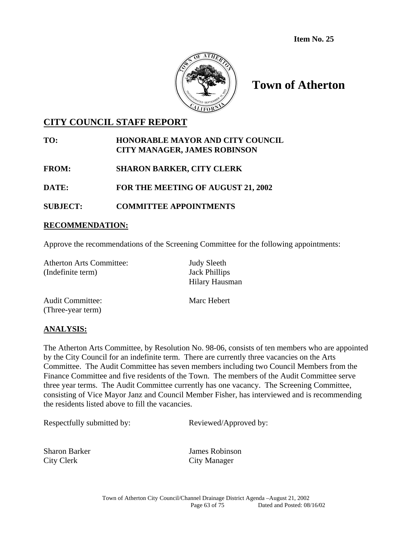

# **Town of Atherton**

# **CITY COUNCIL STAFF REPORT**

## **TO: HONORABLE MAYOR AND CITY COUNCIL CITY MANAGER, JAMES ROBINSON**

**FROM: SHARON BARKER, CITY CLERK** 

**DATE: FOR THE MEETING OF AUGUST 21, 2002** 

## **SUBJECT: COMMITTEE APPOINTMENTS**

## **RECOMMENDATION:**

Approve the recommendations of the Screening Committee for the following appointments:

| <b>Atherton Arts Committee:</b><br>(Indefinite term) | <b>Judy Sleeth</b><br><b>Jack Phillips</b><br>Hilary Hausman |
|------------------------------------------------------|--------------------------------------------------------------|
| <b>Audit Committee:</b>                              | Marc Hebert                                                  |

(Three-year term)

## **ANALYSIS:**

The Atherton Arts Committee, by Resolution No. 98-06, consists of ten members who are appointed by the City Council for an indefinite term. There are currently three vacancies on the Arts Committee. The Audit Committee has seven members including two Council Members from the Finance Committee and five residents of the Town. The members of the Audit Committee serve three year terms. The Audit Committee currently has one vacancy. The Screening Committee, consisting of Vice Mayor Janz and Council Member Fisher, has interviewed and is recommending the residents listed above to fill the vacancies.

Respectfully submitted by: Reviewed/Approved by:

City Clerk City Manager

Sharon Barker James Robinson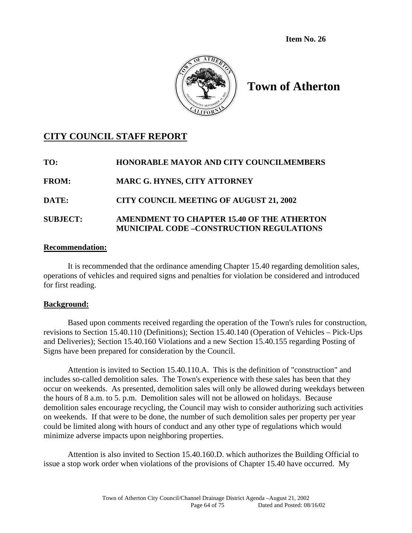**Item No. 26** 



# **Town of Atherton**

# **CITY COUNCIL STAFF REPORT**

| TO:             | <b>HONORABLE MAYOR AND CITY COUNCILMEMBERS</b>                                                |
|-----------------|-----------------------------------------------------------------------------------------------|
| <b>FROM:</b>    | <b>MARC G. HYNES, CITY ATTORNEY</b>                                                           |
| <b>DATE:</b>    | <b>CITY COUNCIL MEETING OF AUGUST 21, 2002</b>                                                |
| <b>SUBJECT:</b> | AMENDMENT TO CHAPTER 15.40 OF THE ATHERTON<br><b>MUNICIPAL CODE -CONSTRUCTION REGULATIONS</b> |

#### **Recommendation:**

It is recommended that the ordinance amending Chapter 15.40 regarding demolition sales, operations of vehicles and required signs and penalties for violation be considered and introduced for first reading.

#### **Background:**

 Based upon comments received regarding the operation of the Town's rules for construction, revisions to Section 15.40.110 (Definitions); Section 15.40.140 (Operation of Vehicles – Pick-Ups and Deliveries); Section 15.40.160 Violations and a new Section 15.40.155 regarding Posting of Signs have been prepared for consideration by the Council.

 Attention is invited to Section 15.40.110.A. This is the definition of "construction" and includes so-called demolition sales. The Town's experience with these sales has been that they occur on weekends. As presented, demolition sales will only be allowed during weekdays between the hours of 8 a.m. to 5. p.m. Demolition sales will not be allowed on holidays. Because demolition sales encourage recycling, the Council may wish to consider authorizing such activities on weekends. If that were to be done, the number of such demolition sales per property per year could be limited along with hours of conduct and any other type of regulations which would minimize adverse impacts upon neighboring properties.

 Attention is also invited to Section 15.40.160.D. which authorizes the Building Official to issue a stop work order when violations of the provisions of Chapter 15.40 have occurred. My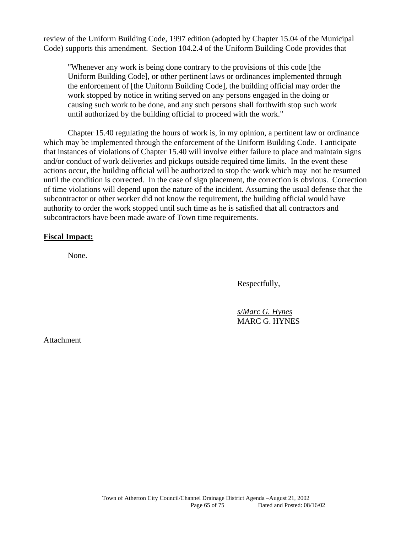review of the Uniform Building Code, 1997 edition (adopted by Chapter 15.04 of the Municipal Code) supports this amendment. Section 104.2.4 of the Uniform Building Code provides that

"Whenever any work is being done contrary to the provisions of this code [the Uniform Building Code], or other pertinent laws or ordinances implemented through the enforcement of [the Uniform Building Code], the building official may order the work stopped by notice in writing served on any persons engaged in the doing or causing such work to be done, and any such persons shall forthwith stop such work until authorized by the building official to proceed with the work."

 Chapter 15.40 regulating the hours of work is, in my opinion, a pertinent law or ordinance which may be implemented through the enforcement of the Uniform Building Code. I anticipate that instances of violations of Chapter 15.40 will involve either failure to place and maintain signs and/or conduct of work deliveries and pickups outside required time limits. In the event these actions occur, the building official will be authorized to stop the work which may not be resumed until the condition is corrected. In the case of sign placement, the correction is obvious. Correction of time violations will depend upon the nature of the incident. Assuming the usual defense that the subcontractor or other worker did not know the requirement, the building official would have authority to order the work stopped until such time as he is satisfied that all contractors and subcontractors have been made aware of Town time requirements.

#### **Fiscal Impact:**

None.

Respectfully,

 *s/Marc G. Hynes* MARC G. HYNES

Attachment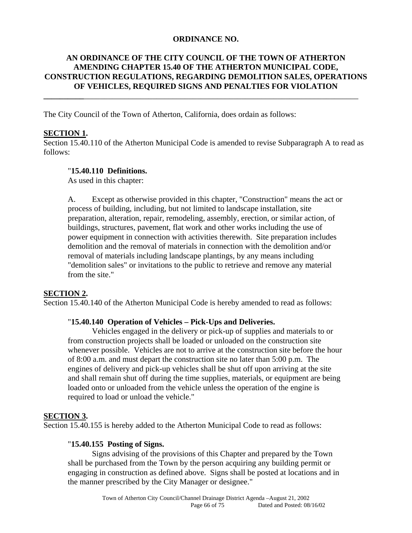#### **ORDINANCE NO.**

## **AN ORDINANCE OF THE CITY COUNCIL OF THE TOWN OF ATHERTON AMENDING CHAPTER 15.40 OF THE ATHERTON MUNICIPAL CODE, CONSTRUCTION REGULATIONS, REGARDING DEMOLITION SALES, OPERATIONS OF VEHICLES, REQUIRED SIGNS AND PENALTIES FOR VIOLATION**

**\_\_\_\_\_\_\_\_\_\_**\_\_\_\_\_\_\_\_\_\_\_\_\_\_\_\_\_\_\_\_\_\_\_\_\_\_\_\_\_\_\_\_\_\_\_\_\_\_\_\_\_\_\_\_\_\_\_\_\_\_\_\_\_\_\_\_\_\_\_\_\_\_\_\_\_\_\_\_

The City Council of the Town of Atherton, California, does ordain as follows:

#### **SECTION 1.**

Section 15.40.110 of the Atherton Municipal Code is amended to revise Subparagraph A to read as follows:

#### "**15.40.110 Definitions.**

As used in this chapter:

A. Except as otherwise provided in this chapter, "Construction" means the act or process of building, including, but not limited to landscape installation, site preparation, alteration, repair, remodeling, assembly, erection, or similar action, of buildings, structures, pavement, flat work and other works including the use of power equipment in connection with activities therewith. Site preparation includes demolition and the removal of materials in connection with the demolition and/or removal of materials including landscape plantings, by any means including "demolition sales" or invitations to the public to retrieve and remove any material from the site."

## **SECTION 2.**

Section 15.40.140 of the Atherton Municipal Code is hereby amended to read as follows:

#### "**15.40.140 Operation of Vehicles – Pick-Ups and Deliveries.**

Vehicles engaged in the delivery or pick-up of supplies and materials to or from construction projects shall be loaded or unloaded on the construction site whenever possible. Vehicles are not to arrive at the construction site before the hour of 8:00 a.m. and must depart the construction site no later than 5:00 p.m. The engines of delivery and pick-up vehicles shall be shut off upon arriving at the site and shall remain shut off during the time supplies, materials, or equipment are being loaded onto or unloaded from the vehicle unless the operation of the engine is required to load or unload the vehicle."

## **SECTION 3.**

Section 15.40.155 is hereby added to the Atherton Municipal Code to read as follows:

#### "**15.40.155 Posting of Signs.**

 Signs advising of the provisions of this Chapter and prepared by the Town shall be purchased from the Town by the person acquiring any building permit or engaging in construction as defined above. Signs shall be posted at locations and in the manner prescribed by the City Manager or designee."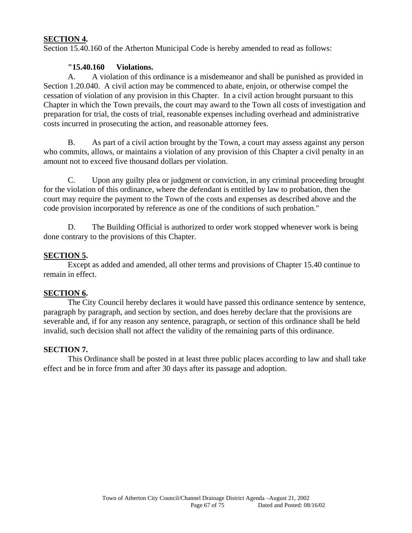#### **SECTION 4.**

Section 15.40.160 of the Atherton Municipal Code is hereby amended to read as follows:

#### **"15.40.160 Violations.**

 A. A violation of this ordinance is a misdemeanor and shall be punished as provided in Section 1.20.040. A civil action may be commenced to abate, enjoin, or otherwise compel the cessation of violation of any provision in this Chapter. In a civil action brought pursuant to this Chapter in which the Town prevails, the court may award to the Town all costs of investigation and preparation for trial, the costs of trial, reasonable expenses including overhead and administrative costs incurred in prosecuting the action, and reasonable attorney fees.

 B. As part of a civil action brought by the Town, a court may assess against any person who commits, allows, or maintains a violation of any provision of this Chapter a civil penalty in an amount not to exceed five thousand dollars per violation.

 C. Upon any guilty plea or judgment or conviction, in any criminal proceeding brought for the violation of this ordinance, where the defendant is entitled by law to probation, then the court may require the payment to the Town of the costs and expenses as described above and the code provision incorporated by reference as one of the conditions of such probation."

 D. The Building Official is authorized to order work stopped whenever work is being done contrary to the provisions of this Chapter.

#### **SECTION 5.**

 Except as added and amended, all other terms and provisions of Chapter 15.40 continue to remain in effect.

#### **SECTION 6.**

 The City Council hereby declares it would have passed this ordinance sentence by sentence, paragraph by paragraph, and section by section, and does hereby declare that the provisions are severable and, if for any reason any sentence, paragraph, or section of this ordinance shall be held invalid, such decision shall not affect the validity of the remaining parts of this ordinance.

#### **SECTION 7.**

 This Ordinance shall be posted in at least three public places according to law and shall take effect and be in force from and after 30 days after its passage and adoption.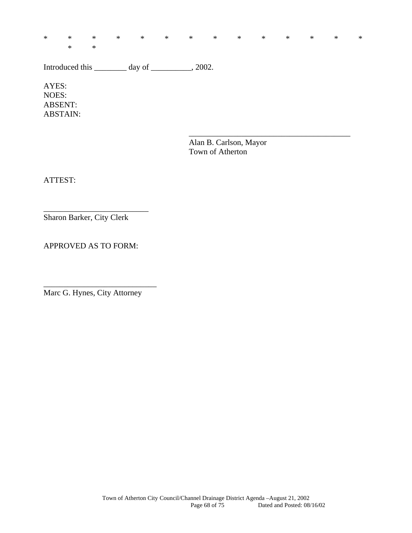\* \* \* \* \* \* \* \* \* \* \* \* \* \*

 $\overline{\phantom{a}}$  , and the contract of the contract of the contract of the contract of the contract of the contract of the contract of the contract of the contract of the contract of the contract of the contract of the contrac

Introduced this \_\_\_\_\_\_\_\_ day of \_\_\_\_\_\_\_\_, 2002.

AYES: NOES: ABSENT: ABSTAIN:

\* \*

 Alan B. Carlson, Mayor Town of Atherton

ATTEST:

Sharon Barker, City Clerk

\_\_\_\_\_\_\_\_\_\_\_\_\_\_\_\_\_\_\_\_\_\_\_\_\_\_

APPROVED AS TO FORM:

Marc G. Hynes, City Attorney

\_\_\_\_\_\_\_\_\_\_\_\_\_\_\_\_\_\_\_\_\_\_\_\_\_\_\_\_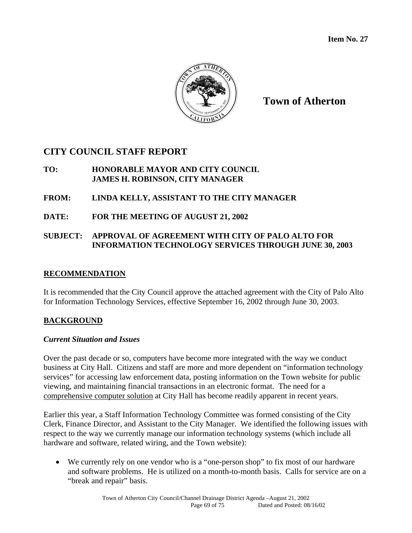

**Town of Atherton**

# **CITY COUNCIL STAFF REPORT**

## **TO: HONORABLE MAYOR AND CITY COUNCIL JAMES H. ROBINSON, CITY MANAGER**

## **FROM: LINDA KELLY, ASSISTANT TO THE CITY MANAGER**

**DATE: FOR THE MEETING OF AUGUST 21, 2002** 

## **SUBJECT: APPROVAL OF AGREEMENT WITH CITY OF PALO ALTO FOR INFORMATION TECHNOLOGY SERVICES THROUGH JUNE 30, 2003**

## **RECOMMENDATION**

It is recommended that the City Council approve the attached agreement with the City of Palo Alto for Information Technology Services, effective September 16, 2002 through June 30, 2003.

## **BACKGROUND**

## *Current Situation and Issues*

Over the past decade or so, computers have become more integrated with the way we conduct business at City Hall. Citizens and staff are more and more dependent on "information technology services" for accessing law enforcement data, posting information on the Town website for public viewing, and maintaining financial transactions in an electronic format. The need for a comprehensive computer solution at City Hall has become readily apparent in recent years.

Earlier this year, a Staff Information Technology Committee was formed consisting of the City Clerk, Finance Director, and Assistant to the City Manager. We identified the following issues with respect to the way we currently manage our information technology systems (which include all hardware and software, related wiring, and the Town website):

 We currently rely on one vendor who is a "one-person shop" to fix most of our hardware and software problems. He is utilized on a month-to-month basis. Calls for service are on a "break and repair" basis.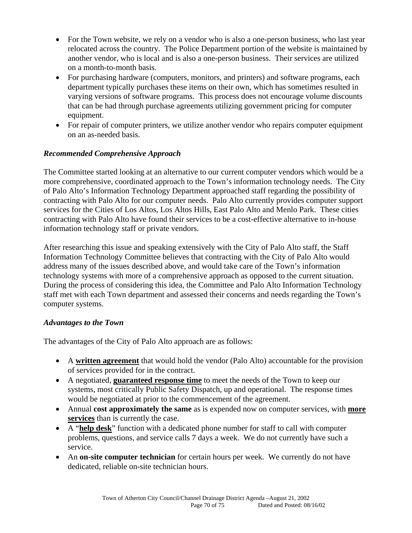- For the Town website, we rely on a vendor who is also a one-person business, who last year relocated across the country. The Police Department portion of the website is maintained by another vendor, who is local and is also a one-person business. Their services are utilized on a month-to-month basis.
- For purchasing hardware (computers, monitors, and printers) and software programs, each department typically purchases these items on their own, which has sometimes resulted in varying versions of software programs. This process does not encourage volume discounts that can be had through purchase agreements utilizing government pricing for computer equipment.
- For repair of computer printers, we utilize another vendor who repairs computer equipment on an as-needed basis.

## *Recommended Comprehensive Approach*

The Committee started looking at an alternative to our current computer vendors which would be a more comprehensive, coordinated approach to the Town's information technology needs. The City of Palo Alto's Information Technology Department approached staff regarding the possibility of contracting with Palo Alto for our computer needs. Palo Alto currently provides computer support services for the Cities of Los Altos, Los Altos Hills, East Palo Alto and Menlo Park. These cities contracting with Palo Alto have found their services to be a cost-effective alternative to in-house information technology staff or private vendors.

After researching this issue and speaking extensively with the City of Palo Alto staff, the Staff Information Technology Committee believes that contracting with the City of Palo Alto would address many of the issues described above, and would take care of the Town's information technology systems with more of a comprehensive approach as opposed to the current situation. During the process of considering this idea, the Committee and Palo Alto Information Technology staff met with each Town department and assessed their concerns and needs regarding the Town's computer systems.

## *Advantages to the Town*

The advantages of the City of Palo Alto approach are as follows:

- A **written agreement** that would hold the vendor (Palo Alto) accountable for the provision of services provided for in the contract.
- A negotiated, **guaranteed response time** to meet the needs of the Town to keep our systems, most critically Public Safety Dispatch, up and operational. The response times would be negotiated at prior to the commencement of the agreement.
- Annual **cost approximately the same** as is expended now on computer services, with **more services** than is currently the case.
- A "**help desk**" function with a dedicated phone number for staff to call with computer problems, questions, and service calls 7 days a week. We do not currently have such a service.
- An **on-site computer technician** for certain hours per week. We currently do not have dedicated, reliable on-site technician hours.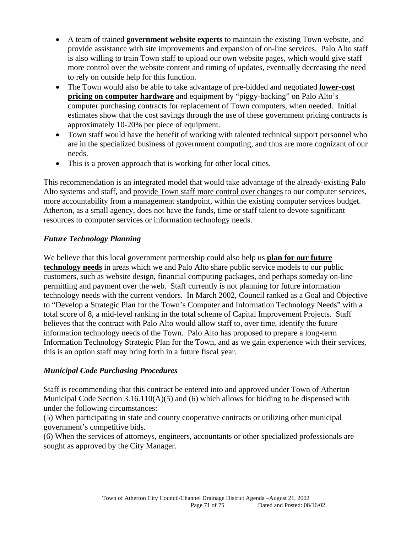- A team of trained **government website experts** to maintain the existing Town website, and provide assistance with site improvements and expansion of on-line services. Palo Alto staff is also willing to train Town staff to upload our own website pages, which would give staff more control over the website content and timing of updates, eventually decreasing the need to rely on outside help for this function.
- The Town would also be able to take advantage of pre-bidded and negotiated **lower-cost pricing on computer hardware** and equipment by "piggy-backing" on Palo Alto's computer purchasing contracts for replacement of Town computers, when needed. Initial estimates show that the cost savings through the use of these government pricing contracts is approximately 10-20% per piece of equipment.
- Town staff would have the benefit of working with talented technical support personnel who are in the specialized business of government computing, and thus are more cognizant of our needs.
- This is a proven approach that is working for other local cities.

This recommendation is an integrated model that would take advantage of the already-existing Palo Alto systems and staff, and provide Town staff more control over changes to our computer services, more accountability from a management standpoint, within the existing computer services budget. Atherton, as a small agency, does not have the funds, time or staff talent to devote significant resources to computer services or information technology needs.

## *Future Technology Planning*

We believe that this local government partnership could also help us **plan for our future technology needs** in areas which we and Palo Alto share public service models to our public customers, such as website design, financial computing packages, and perhaps someday on-line permitting and payment over the web. Staff currently is not planning for future information technology needs with the current vendors. In March 2002, Council ranked as a Goal and Objective to "Develop a Strategic Plan for the Town's Computer and Information Technology Needs" with a total score of 8, a mid-level ranking in the total scheme of Capital Improvement Projects. Staff believes that the contract with Palo Alto would allow staff to, over time, identify the future information technology needs of the Town. Palo Alto has proposed to prepare a long-term Information Technology Strategic Plan for the Town, and as we gain experience with their services, this is an option staff may bring forth in a future fiscal year.

## *Municipal Code Purchasing Procedures*

Staff is recommending that this contract be entered into and approved under Town of Atherton Municipal Code Section 3.16.110(A)(5) and (6) which allows for bidding to be dispensed with under the following circumstances:

(5) When participating in state and county cooperative contracts or utilizing other municipal government's competitive bids.

(6) When the services of attorneys, engineers, accountants or other specialized professionals are sought as approved by the City Manager.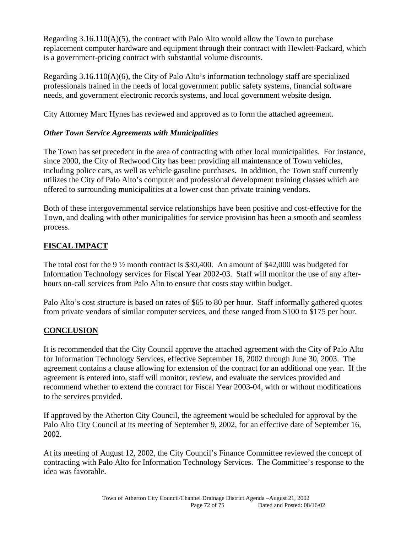Regarding  $3.16.110(A)(5)$ , the contract with Palo Alto would allow the Town to purchase replacement computer hardware and equipment through their contract with Hewlett-Packard, which is a government-pricing contract with substantial volume discounts.

Regarding  $3.16.110(A)(6)$ , the City of Palo Alto's information technology staff are specialized professionals trained in the needs of local government public safety systems, financial software needs, and government electronic records systems, and local government website design.

City Attorney Marc Hynes has reviewed and approved as to form the attached agreement.

## *Other Town Service Agreements with Municipalities*

The Town has set precedent in the area of contracting with other local municipalities. For instance, since 2000, the City of Redwood City has been providing all maintenance of Town vehicles, including police cars, as well as vehicle gasoline purchases. In addition, the Town staff currently utilizes the City of Palo Alto's computer and professional development training classes which are offered to surrounding municipalities at a lower cost than private training vendors.

Both of these intergovernmental service relationships have been positive and cost-effective for the Town, and dealing with other municipalities for service provision has been a smooth and seamless process.

# **FISCAL IMPACT**

The total cost for the 9 ½ month contract is \$30,400. An amount of \$42,000 was budgeted for Information Technology services for Fiscal Year 2002-03. Staff will monitor the use of any afterhours on-call services from Palo Alto to ensure that costs stay within budget.

Palo Alto's cost structure is based on rates of \$65 to 80 per hour. Staff informally gathered quotes from private vendors of similar computer services, and these ranged from \$100 to \$175 per hour.

## **CONCLUSION**

It is recommended that the City Council approve the attached agreement with the City of Palo Alto for Information Technology Services, effective September 16, 2002 through June 30, 2003. The agreement contains a clause allowing for extension of the contract for an additional one year. If the agreement is entered into, staff will monitor, review, and evaluate the services provided and recommend whether to extend the contract for Fiscal Year 2003-04, with or without modifications to the services provided.

If approved by the Atherton City Council, the agreement would be scheduled for approval by the Palo Alto City Council at its meeting of September 9, 2002, for an effective date of September 16, 2002.

At its meeting of August 12, 2002, the City Council's Finance Committee reviewed the concept of contracting with Palo Alto for Information Technology Services. The Committee's response to the idea was favorable.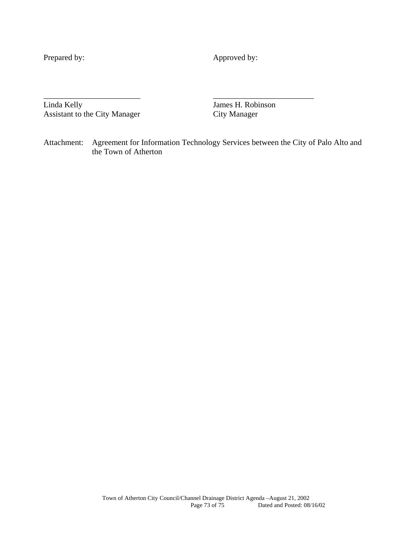Prepared by: Approved by:

Linda Kelly James H. Robinson Assistant to the City Manager City Manager

Attachment: Agreement for Information Technology Services between the City of Palo Alto and the Town of Atherton

\_\_\_\_\_\_\_\_\_\_\_\_\_\_\_\_\_\_\_\_\_\_\_\_ \_\_\_\_\_\_\_\_\_\_\_\_\_\_\_\_\_\_\_\_\_\_\_\_\_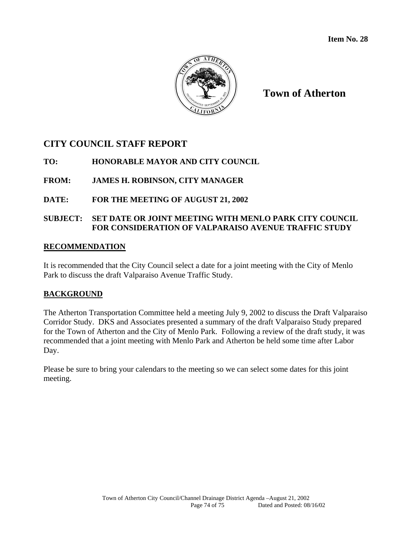

**Town of Atherton**

# **CITY COUNCIL STAFF REPORT**

# **TO: HONORABLE MAYOR AND CITY COUNCIL**

# **FROM: JAMES H. ROBINSON, CITY MANAGER**

# **DATE: FOR THE MEETING OF AUGUST 21, 2002**

# **SUBJECT: SET DATE OR JOINT MEETING WITH MENLO PARK CITY COUNCIL FOR CONSIDERATION OF VALPARAISO AVENUE TRAFFIC STUDY**

#### **RECOMMENDATION**

It is recommended that the City Council select a date for a joint meeting with the City of Menlo Park to discuss the draft Valparaiso Avenue Traffic Study.

#### **BACKGROUND**

The Atherton Transportation Committee held a meeting July 9, 2002 to discuss the Draft Valparaiso Corridor Study. DKS and Associates presented a summary of the draft Valparaiso Study prepared for the Town of Atherton and the City of Menlo Park. Following a review of the draft study, it was recommended that a joint meeting with Menlo Park and Atherton be held some time after Labor Day.

Please be sure to bring your calendars to the meeting so we can select some dates for this joint meeting.